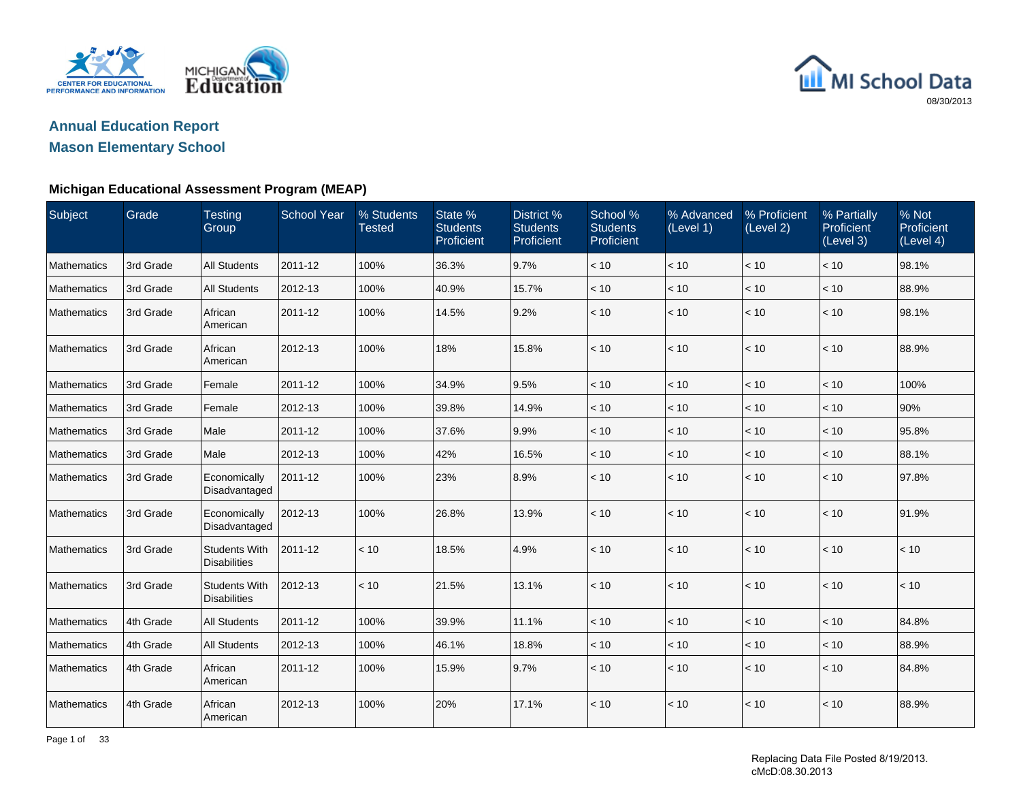

## **Annual Education ReportMason Elementary School**

| Subject     | Grade     | <b>Testing</b><br>Group                     | <b>School Year</b> | % Students<br><b>Tested</b> | State %<br><b>Students</b><br>Proficient | <b>District %</b><br><b>Students</b><br>Proficient | School %<br><b>Students</b><br>Proficient | % Advanced<br>(Level 1) | % Proficient<br>(Level 2) | % Partially<br>Proficient<br>(Level 3) | % Not<br>Proficient<br>(Level 4) |
|-------------|-----------|---------------------------------------------|--------------------|-----------------------------|------------------------------------------|----------------------------------------------------|-------------------------------------------|-------------------------|---------------------------|----------------------------------------|----------------------------------|
| Mathematics | 3rd Grade | <b>All Students</b>                         | 2011-12            | 100%                        | 36.3%                                    | 9.7%                                               | < 10                                      | $<10$                   | < 10                      | < 10                                   | 98.1%                            |
| Mathematics | 3rd Grade | <b>All Students</b>                         | 2012-13            | 100%                        | 40.9%                                    | 15.7%                                              | < 10                                      | < 10                    | < 10                      | < 10                                   | 88.9%                            |
| Mathematics | 3rd Grade | African<br>American                         | 2011-12            | 100%                        | 14.5%                                    | 9.2%                                               | < 10                                      | < 10                    | < 10                      | < 10                                   | 98.1%                            |
| Mathematics | 3rd Grade | African<br>American                         | 2012-13            | 100%                        | 18%                                      | 15.8%                                              | < 10                                      | < 10                    | < 10                      | < 10                                   | 88.9%                            |
| Mathematics | 3rd Grade | Female                                      | 2011-12            | 100%                        | 34.9%                                    | 9.5%                                               | < 10                                      | < 10                    | < 10                      | < 10                                   | 100%                             |
| Mathematics | 3rd Grade | Female                                      | 2012-13            | 100%                        | 39.8%                                    | 14.9%                                              | < 10                                      | < 10                    | < 10                      | < 10                                   | 90%                              |
| Mathematics | 3rd Grade | Male                                        | 2011-12            | 100%                        | 37.6%                                    | 9.9%                                               | < 10                                      | < 10                    | < 10                      | < 10                                   | 95.8%                            |
| Mathematics | 3rd Grade | Male                                        | 2012-13            | 100%                        | 42%                                      | 16.5%                                              | < 10                                      | < 10                    | < 10                      | < 10                                   | 88.1%                            |
| Mathematics | 3rd Grade | Economically<br>Disadvantaged               | 2011-12            | 100%                        | 23%                                      | 8.9%                                               | < 10                                      | < 10                    | < 10                      | < 10                                   | 97.8%                            |
| Mathematics | 3rd Grade | Economically<br>Disadvantaged               | 2012-13            | 100%                        | 26.8%                                    | 13.9%                                              | < 10                                      | < 10                    | < 10                      | $<10$                                  | 91.9%                            |
| Mathematics | 3rd Grade | <b>Students With</b><br><b>Disabilities</b> | 2011-12            | < 10                        | 18.5%                                    | 4.9%                                               | < 10                                      | < 10                    | < 10                      | < 10                                   | < 10                             |
| Mathematics | 3rd Grade | <b>Students With</b><br><b>Disabilities</b> | 2012-13            | < 10                        | 21.5%                                    | 13.1%                                              | < 10                                      | < 10                    | < 10                      | < 10                                   | < 10                             |
| Mathematics | 4th Grade | <b>All Students</b>                         | 2011-12            | 100%                        | 39.9%                                    | 11.1%                                              | < 10                                      | < 10                    | < 10                      | < 10                                   | 84.8%                            |
| Mathematics | 4th Grade | <b>All Students</b>                         | 2012-13            | 100%                        | 46.1%                                    | 18.8%                                              | < 10                                      | < 10                    | < 10                      | < 10                                   | 88.9%                            |
| Mathematics | 4th Grade | African<br>American                         | 2011-12            | 100%                        | 15.9%                                    | 9.7%                                               | < 10                                      | < 10                    | < 10                      | < 10                                   | 84.8%                            |
| Mathematics | 4th Grade | African<br>American                         | 2012-13            | 100%                        | 20%                                      | 17.1%                                              | < 10                                      | < 10                    | < 10                      | < 10                                   | 88.9%                            |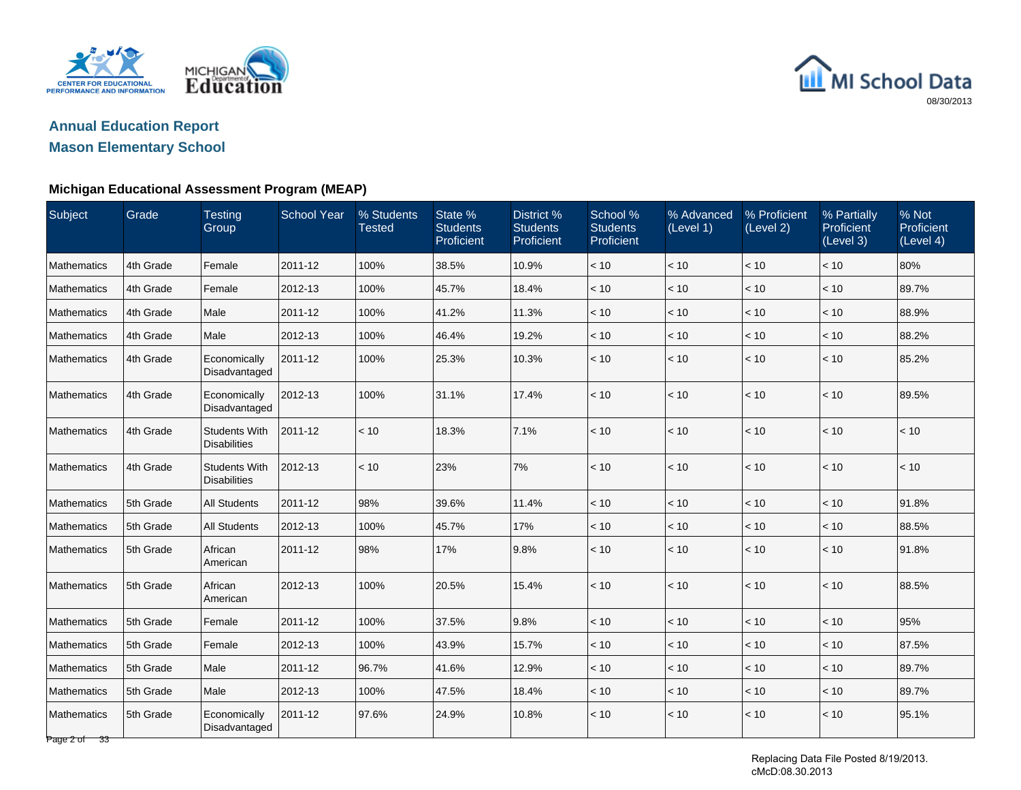

## **Annual Education ReportMason Elementary School**

#### **Michigan Educational Assessment Program (MEAP)**

| Subject            | Grade     | <b>Testing</b><br>Group                     | <b>School Year</b> | % Students<br><b>Tested</b> | State %<br><b>Students</b><br>Proficient | District %<br><b>Students</b><br>Proficient | School %<br><b>Students</b><br>Proficient | % Advanced<br>(Level 1) | % Proficient<br>(Level 2) | % Partially<br>Proficient<br>(Level 3) | % Not<br>Proficient<br>(Level 4) |
|--------------------|-----------|---------------------------------------------|--------------------|-----------------------------|------------------------------------------|---------------------------------------------|-------------------------------------------|-------------------------|---------------------------|----------------------------------------|----------------------------------|
| Mathematics        | 4th Grade | Female                                      | 2011-12            | 100%                        | 38.5%                                    | 10.9%                                       | < 10                                      | $<10$                   | $<10$                     | < 10                                   | 80%                              |
| Mathematics        | 4th Grade | Female                                      | 2012-13            | 100%                        | 45.7%                                    | 18.4%                                       | < 10                                      | < 10                    | < 10                      | < 10                                   | 89.7%                            |
| Mathematics        | 4th Grade | Male                                        | 2011-12            | 100%                        | 41.2%                                    | 11.3%                                       | < 10                                      | $<10$                   | $<10$                     | $<10$                                  | 88.9%                            |
| Mathematics        | 4th Grade | Male                                        | 2012-13            | 100%                        | 46.4%                                    | 19.2%                                       | < 10                                      | < 10                    | < 10                      | < 10                                   | 88.2%                            |
| Mathematics        | 4th Grade | Economically<br>Disadvantaged               | 2011-12            | 100%                        | 25.3%                                    | 10.3%                                       | < 10                                      | < 10                    | < 10                      | < 10                                   | 85.2%                            |
| Mathematics        | 4th Grade | Economically<br>Disadvantaged               | 2012-13            | 100%                        | 31.1%                                    | 17.4%                                       | < 10                                      | < 10                    | < 10                      | < 10                                   | 89.5%                            |
| Mathematics        | 4th Grade | <b>Students With</b><br><b>Disabilities</b> | 2011-12            | < 10                        | 18.3%                                    | 7.1%                                        | < 10                                      | < 10                    | < 10                      | < 10                                   | < 10                             |
| Mathematics        | 4th Grade | <b>Students With</b><br><b>Disabilities</b> | 2012-13            | < 10                        | 23%                                      | 7%                                          | < 10                                      | < 10                    | < 10                      | < 10                                   | < 10                             |
| <b>Mathematics</b> | 5th Grade | <b>All Students</b>                         | 2011-12            | 98%                         | 39.6%                                    | 11.4%                                       | < 10                                      | < 10                    | < 10                      | < 10                                   | 91.8%                            |
| <b>Mathematics</b> | 5th Grade | <b>All Students</b>                         | 2012-13            | 100%                        | 45.7%                                    | 17%                                         | < 10                                      | < 10                    | < 10                      | < 10                                   | 88.5%                            |
| Mathematics        | 5th Grade | African<br>American                         | 2011-12            | 98%                         | 17%                                      | 9.8%                                        | < 10                                      | < 10                    | < 10                      | < 10                                   | 91.8%                            |
| Mathematics        | 5th Grade | African<br>American                         | 2012-13            | 100%                        | 20.5%                                    | 15.4%                                       | < 10                                      | < 10                    | < 10                      | < 10                                   | 88.5%                            |
| Mathematics        | 5th Grade | Female                                      | 2011-12            | 100%                        | 37.5%                                    | 9.8%                                        | < 10                                      | < 10                    | < 10                      | < 10                                   | 95%                              |
| <b>Mathematics</b> | 5th Grade | Female                                      | 2012-13            | 100%                        | 43.9%                                    | 15.7%                                       | < 10                                      | < 10                    | < 10                      | < 10                                   | 87.5%                            |
| Mathematics        | 5th Grade | Male                                        | 2011-12            | 96.7%                       | 41.6%                                    | 12.9%                                       | < 10                                      | < 10                    | < 10                      | $<10$                                  | 89.7%                            |
| Mathematics        | 5th Grade | Male                                        | 2012-13            | 100%                        | 47.5%                                    | 18.4%                                       | < 10                                      | < 10                    | < 10                      | < 10                                   | 89.7%                            |
| Mathematics        | 5th Grade | Economically<br>Disadvantaged               | 2011-12            | 97.6%                       | 24.9%                                    | 10.8%                                       | < 10                                      | < 10                    | < 10                      | < 10                                   | 95.1%                            |

Page 2 of 33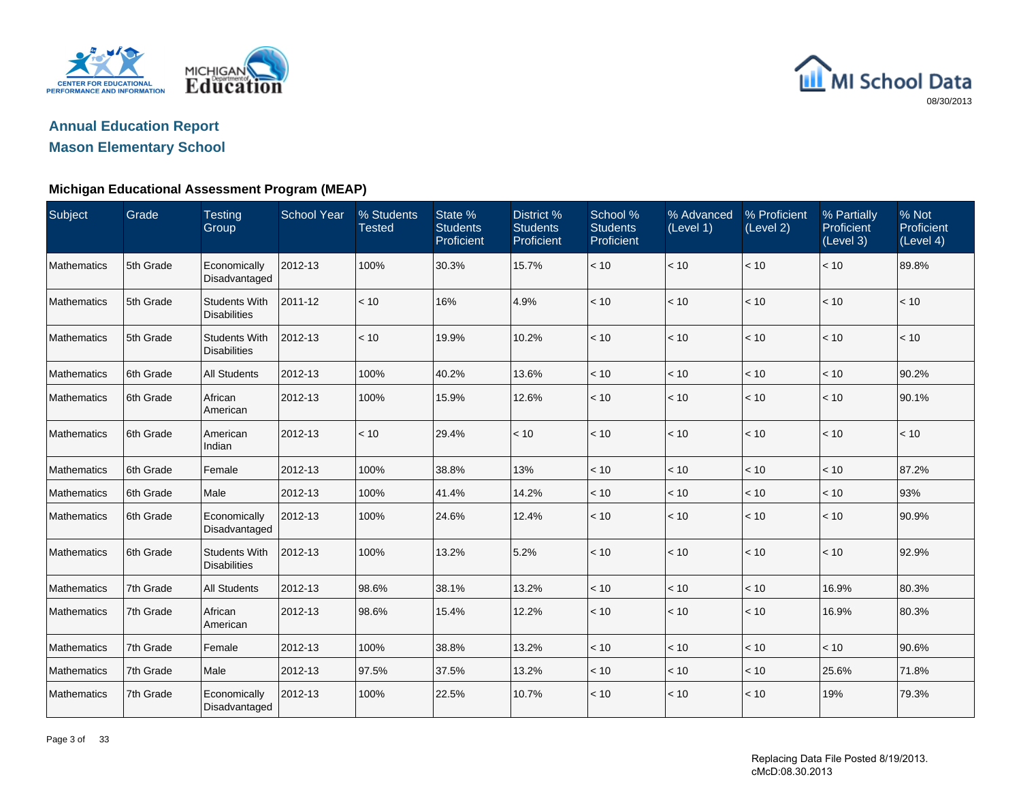

## **Annual Education ReportMason Elementary School**

| Subject            | Grade     | <b>Testing</b><br>Group                     | <b>School Year</b> | % Students<br><b>Tested</b> | State %<br><b>Students</b><br>Proficient | District <sub>%</sub><br><b>Students</b><br>Proficient | School %<br><b>Students</b><br>Proficient | % Advanced<br>(Level 1) | % Proficient<br>(Level 2) | % Partially<br>Proficient<br>(Level 3) | % Not<br>Proficient<br>(Level 4) |
|--------------------|-----------|---------------------------------------------|--------------------|-----------------------------|------------------------------------------|--------------------------------------------------------|-------------------------------------------|-------------------------|---------------------------|----------------------------------------|----------------------------------|
| Mathematics        | 5th Grade | Economically<br>Disadvantaged               | 2012-13            | 100%                        | 30.3%                                    | 15.7%                                                  | < 10                                      | < 10                    | < 10                      | < 10                                   | 89.8%                            |
| Mathematics        | 5th Grade | <b>Students With</b><br><b>Disabilities</b> | 2011-12            | < 10                        | 16%                                      | 4.9%                                                   | < 10                                      | < 10                    | < 10                      | < 10                                   | < 10                             |
| Mathematics        | 5th Grade | <b>Students With</b><br><b>Disabilities</b> | 2012-13            | < 10                        | 19.9%                                    | 10.2%                                                  | < 10                                      | < 10                    | < 10                      | < 10                                   | < 10                             |
| Mathematics        | 6th Grade | All Students                                | 2012-13            | 100%                        | 40.2%                                    | 13.6%                                                  | $<10$                                     | < 10                    | $<10$                     | < 10                                   | 90.2%                            |
| Mathematics        | 6th Grade | African<br>American                         | 2012-13            | 100%                        | 15.9%                                    | 12.6%                                                  | < 10                                      | < 10                    | < 10                      | < 10                                   | 90.1%                            |
| Mathematics        | 6th Grade | American<br>Indian                          | 2012-13            | < 10                        | 29.4%                                    | < 10                                                   | < 10                                      | < 10                    | < 10                      | < 10                                   | < 10                             |
| Mathematics        | 6th Grade | Female                                      | 2012-13            | 100%                        | 38.8%                                    | 13%                                                    | < 10                                      | < 10                    | < 10                      | < 10                                   | 87.2%                            |
| Mathematics        | 6th Grade | Male                                        | 2012-13            | 100%                        | 41.4%                                    | 14.2%                                                  | < 10                                      | < 10                    | < 10                      | < 10                                   | 93%                              |
| Mathematics        | 6th Grade | Economically<br>Disadvantaged               | 2012-13            | 100%                        | 24.6%                                    | 12.4%                                                  | < 10                                      | < 10                    | < 10                      | < 10                                   | 90.9%                            |
| <b>Mathematics</b> | 6th Grade | <b>Students With</b><br><b>Disabilities</b> | 2012-13            | 100%                        | 13.2%                                    | 5.2%                                                   | < 10                                      | < 10                    | < 10                      | < 10                                   | 92.9%                            |
| Mathematics        | 7th Grade | <b>All Students</b>                         | 2012-13            | 98.6%                       | 38.1%                                    | 13.2%                                                  | < 10                                      | < 10                    | < 10                      | 16.9%                                  | 80.3%                            |
| Mathematics        | 7th Grade | African<br>American                         | 2012-13            | 98.6%                       | 15.4%                                    | 12.2%                                                  | < 10                                      | < 10                    | < 10                      | 16.9%                                  | 80.3%                            |
| Mathematics        | 7th Grade | Female                                      | 2012-13            | 100%                        | 38.8%                                    | 13.2%                                                  | < 10                                      | < 10                    | < 10                      | < 10                                   | 90.6%                            |
| Mathematics        | 7th Grade | Male                                        | 2012-13            | 97.5%                       | 37.5%                                    | 13.2%                                                  | < 10                                      | < 10                    | < 10                      | 25.6%                                  | 71.8%                            |
| Mathematics        | 7th Grade | Economically<br>Disadvantaged               | 2012-13            | 100%                        | 22.5%                                    | 10.7%                                                  | < 10                                      | < 10                    | < 10                      | 19%                                    | 79.3%                            |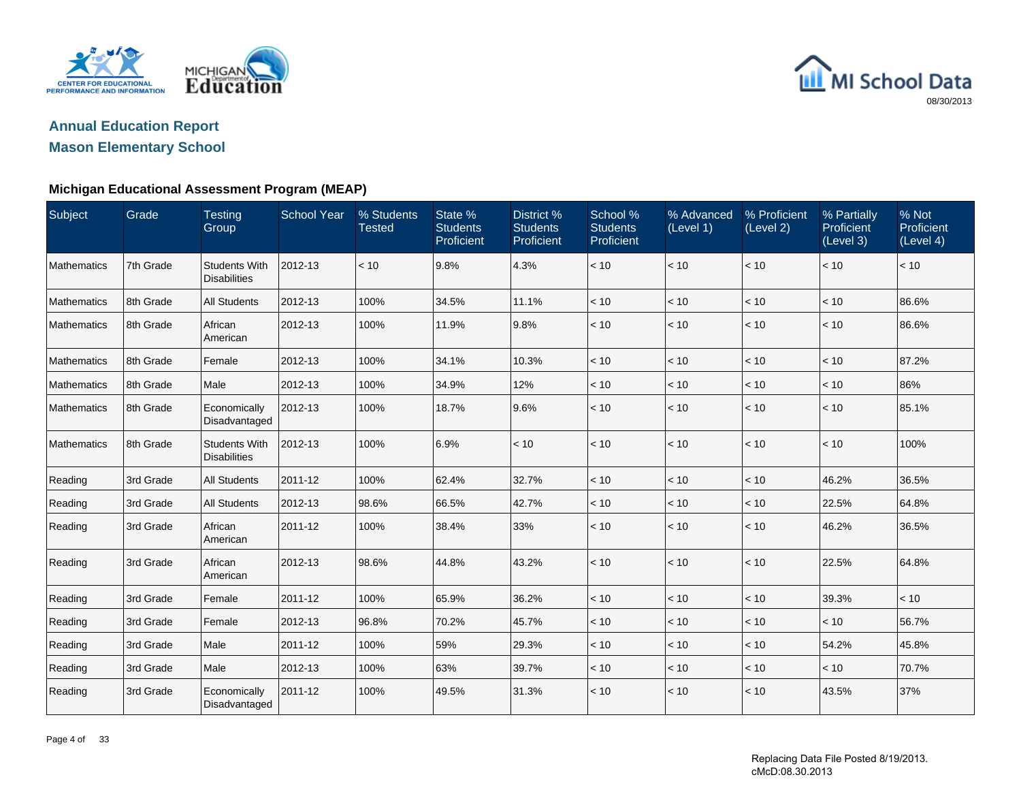

## **Annual Education ReportMason Elementary School**

| Subject            | Grade     | <b>Testing</b><br>Group                     | <b>School Year</b> | % Students<br><b>Tested</b> | State %<br><b>Students</b><br>Proficient | District %<br><b>Students</b><br>Proficient | School %<br><b>Students</b><br>Proficient | % Advanced<br>(Level 1) | % Proficient<br>(Level 2) | % Partially<br>Proficient<br>(Level 3) | % Not<br>Proficient<br>(Level 4) |
|--------------------|-----------|---------------------------------------------|--------------------|-----------------------------|------------------------------------------|---------------------------------------------|-------------------------------------------|-------------------------|---------------------------|----------------------------------------|----------------------------------|
| Mathematics        | 7th Grade | <b>Students With</b><br><b>Disabilities</b> | 2012-13            | < 10                        | 9.8%                                     | 4.3%                                        | < 10                                      | < 10                    | < 10                      | < 10                                   | < 10                             |
| Mathematics        | 8th Grade | <b>All Students</b>                         | 2012-13            | 100%                        | 34.5%                                    | 11.1%                                       | < 10                                      | < 10                    | < 10                      | < 10                                   | 86.6%                            |
| Mathematics        | 8th Grade | African<br>American                         | 2012-13            | 100%                        | 11.9%                                    | 9.8%                                        | < 10                                      | < 10                    | < 10                      | < 10                                   | 86.6%                            |
| <b>Mathematics</b> | 8th Grade | Female                                      | 2012-13            | 100%                        | 34.1%                                    | 10.3%                                       | < 10                                      | < 10                    | < 10                      | < 10                                   | 87.2%                            |
| Mathematics        | 8th Grade | Male                                        | 2012-13            | 100%                        | 34.9%                                    | 12%                                         | < 10                                      | < 10                    | < 10                      | < 10                                   | 86%                              |
| Mathematics        | 8th Grade | Economically<br>Disadvantaged               | 2012-13            | 100%                        | 18.7%                                    | 9.6%                                        | < 10                                      | < 10                    | < 10                      | < 10                                   | 85.1%                            |
| Mathematics        | 8th Grade | <b>Students With</b><br><b>Disabilities</b> | 2012-13            | 100%                        | 6.9%                                     | < 10                                        | < 10                                      | < 10                    | < 10                      | < 10                                   | 100%                             |
| Reading            | 3rd Grade | <b>All Students</b>                         | 2011-12            | 100%                        | 62.4%                                    | 32.7%                                       | < 10                                      | < 10                    | < 10                      | 46.2%                                  | 36.5%                            |
| Reading            | 3rd Grade | <b>All Students</b>                         | 2012-13            | 98.6%                       | 66.5%                                    | 42.7%                                       | < 10                                      | < 10                    | < 10                      | 22.5%                                  | 64.8%                            |
| Reading            | 3rd Grade | African<br>American                         | 2011-12            | 100%                        | 38.4%                                    | 33%                                         | < 10                                      | < 10                    | < 10                      | 46.2%                                  | 36.5%                            |
| Reading            | 3rd Grade | African<br>American                         | 2012-13            | 98.6%                       | 44.8%                                    | 43.2%                                       | < 10                                      | < 10                    | < 10                      | 22.5%                                  | 64.8%                            |
| Reading            | 3rd Grade | Female                                      | 2011-12            | 100%                        | 65.9%                                    | 36.2%                                       | < 10                                      | < 10                    | < 10                      | 39.3%                                  | < 10                             |
| Reading            | 3rd Grade | Female                                      | 2012-13            | 96.8%                       | 70.2%                                    | 45.7%                                       | < 10                                      | < 10                    | < 10                      | < 10                                   | 56.7%                            |
| Reading            | 3rd Grade | Male                                        | 2011-12            | 100%                        | 59%                                      | 29.3%                                       | < 10                                      | < 10                    | < 10                      | 54.2%                                  | 45.8%                            |
| Reading            | 3rd Grade | Male                                        | 2012-13            | 100%                        | 63%                                      | 39.7%                                       | $<10$                                     | < 10                    | < 10                      | < 10                                   | 70.7%                            |
| Reading            | 3rd Grade | Economically<br>Disadvantaged               | 2011-12            | 100%                        | 49.5%                                    | 31.3%                                       | < 10                                      | < 10                    | < 10                      | 43.5%                                  | 37%                              |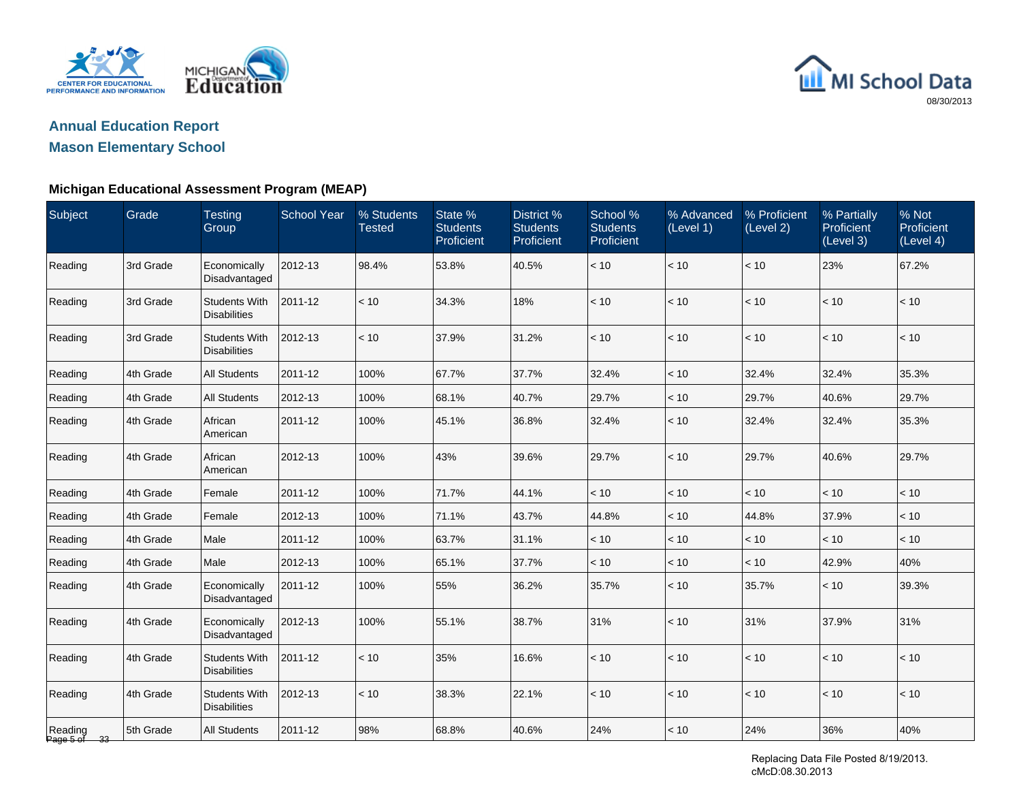



#### **Michigan Educational Assessment Program (MEAP)**

| Subject                 | Grade     | <b>Testing</b><br>Group                     | <b>School Year</b> | % Students<br><b>Tested</b> | State %<br><b>Students</b><br>Proficient | District %<br><b>Students</b><br>Proficient | School %<br><b>Students</b><br>Proficient | % Advanced<br>(Level 1) | % Proficient<br>(Level 2) | % Partially<br>Proficient<br>(Level 3) | % Not<br>Proficient<br>(Level 4) |
|-------------------------|-----------|---------------------------------------------|--------------------|-----------------------------|------------------------------------------|---------------------------------------------|-------------------------------------------|-------------------------|---------------------------|----------------------------------------|----------------------------------|
| Reading                 | 3rd Grade | Economically<br>Disadvantaged               | 2012-13            | 98.4%                       | 53.8%                                    | 40.5%                                       | $<10$                                     | < 10                    | < 10                      | 23%                                    | 67.2%                            |
| Reading                 | 3rd Grade | <b>Students With</b><br><b>Disabilities</b> | 2011-12            | < 10                        | 34.3%                                    | 18%                                         | < 10                                      | < 10                    | < 10                      | < 10                                   | < 10                             |
| Reading                 | 3rd Grade | <b>Students With</b><br><b>Disabilities</b> | 2012-13            | < 10                        | 37.9%                                    | 31.2%                                       | < 10                                      | < 10                    | < 10                      | < 10                                   | < 10                             |
| Reading                 | 4th Grade | <b>All Students</b>                         | 2011-12            | 100%                        | 67.7%                                    | 37.7%                                       | 32.4%                                     | $<10$                   | 32.4%                     | 32.4%                                  | 35.3%                            |
| Reading                 | 4th Grade | <b>All Students</b>                         | 2012-13            | 100%                        | 68.1%                                    | 40.7%                                       | 29.7%                                     | $<10$                   | 29.7%                     | 40.6%                                  | 29.7%                            |
| Reading                 | 4th Grade | African<br>American                         | 2011-12            | 100%                        | 45.1%                                    | 36.8%                                       | 32.4%                                     | < 10                    | 32.4%                     | 32.4%                                  | 35.3%                            |
| Reading                 | 4th Grade | African<br>American                         | 2012-13            | 100%                        | 43%                                      | 39.6%                                       | 29.7%                                     | < 10                    | 29.7%                     | 40.6%                                  | 29.7%                            |
| Reading                 | 4th Grade | Female                                      | 2011-12            | 100%                        | 71.7%                                    | 44.1%                                       | < 10                                      | $<10$                   | < 10                      | < 10                                   | < 10                             |
| Reading                 | 4th Grade | Female                                      | 2012-13            | 100%                        | 71.1%                                    | 43.7%                                       | 44.8%                                     | $<10$                   | 44.8%                     | 37.9%                                  | < 10                             |
| Reading                 | 4th Grade | Male                                        | 2011-12            | 100%                        | 63.7%                                    | 31.1%                                       | < 10                                      | < 10                    | < 10                      | < 10                                   | < 10                             |
| Reading                 | 4th Grade | Male                                        | 2012-13            | 100%                        | 65.1%                                    | 37.7%                                       | < 10                                      | < 10                    | < 10                      | 42.9%                                  | 40%                              |
| Reading                 | 4th Grade | Economically<br>Disadvantaged               | 2011-12            | 100%                        | 55%                                      | 36.2%                                       | 35.7%                                     | < 10                    | 35.7%                     | < 10                                   | 39.3%                            |
| Reading                 | 4th Grade | Economically<br>Disadvantaged               | 2012-13            | 100%                        | 55.1%                                    | 38.7%                                       | 31%                                       | < 10                    | 31%                       | 37.9%                                  | 31%                              |
| Reading                 | 4th Grade | <b>Students With</b><br><b>Disabilities</b> | 2011-12            | < 10                        | 35%                                      | 16.6%                                       | < 10                                      | < 10                    | $<10$                     | < 10                                   | < 10                             |
| Reading                 | 4th Grade | <b>Students With</b><br><b>Disabilities</b> | 2012-13            | < 10                        | 38.3%                                    | 22.1%                                       | < 10                                      | < 10                    | < 10                      | < 10                                   | < 10                             |
| Reading<br>Page 5 of 33 | 5th Grade | <b>All Students</b>                         | 2011-12            | 98%                         | 68.8%                                    | 40.6%                                       | 24%                                       | < 10                    | 24%                       | 36%                                    | 40%                              |

Replacing Data File Posted 8/19/2013. cMcD:08.30.2013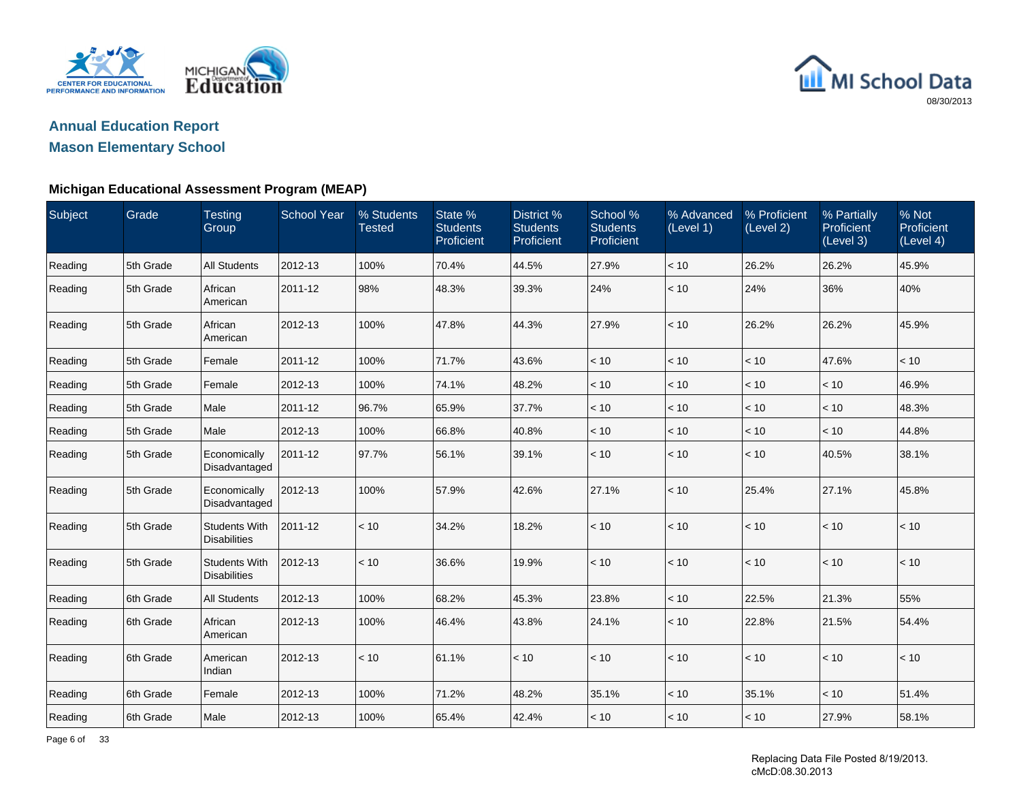

## **Annual Education ReportMason Elementary School**

| Subject | Grade     | <b>Testing</b><br>Group                     | <b>School Year</b> | % Students<br><b>Tested</b> | State %<br><b>Students</b><br>Proficient | District %<br><b>Students</b><br>Proficient | School %<br><b>Students</b><br>Proficient | % Advanced<br>(Level 1) | % Proficient<br>(Level 2) | % Partially<br>Proficient<br>(Level 3) | % Not<br>Proficient<br>(Level 4) |
|---------|-----------|---------------------------------------------|--------------------|-----------------------------|------------------------------------------|---------------------------------------------|-------------------------------------------|-------------------------|---------------------------|----------------------------------------|----------------------------------|
| Reading | 5th Grade | <b>All Students</b>                         | 2012-13            | 100%                        | 70.4%                                    | 44.5%                                       | 27.9%                                     | < 10                    | 26.2%                     | 26.2%                                  | 45.9%                            |
| Reading | 5th Grade | African<br>American                         | 2011-12            | 98%                         | 48.3%                                    | 39.3%                                       | 24%                                       | < 10                    | 24%                       | 36%                                    | 40%                              |
| Reading | 5th Grade | African<br>American                         | 2012-13            | 100%                        | 47.8%                                    | 44.3%                                       | 27.9%                                     | < 10                    | 26.2%                     | 26.2%                                  | 45.9%                            |
| Reading | 5th Grade | Female                                      | 2011-12            | 100%                        | 71.7%                                    | 43.6%                                       | < 10                                      | < 10                    | < 10                      | 47.6%                                  | < 10                             |
| Reading | 5th Grade | Female                                      | 2012-13            | 100%                        | 74.1%                                    | 48.2%                                       | $<10$                                     | $<10$                   | $<10$                     | < 10                                   | 46.9%                            |
| Reading | 5th Grade | Male                                        | 2011-12            | 96.7%                       | 65.9%                                    | 37.7%                                       | < 10                                      | < 10                    | < 10                      | < 10                                   | 48.3%                            |
| Reading | 5th Grade | Male                                        | 2012-13            | 100%                        | 66.8%                                    | 40.8%                                       | < 10                                      | < 10                    | < 10                      | < 10                                   | 44.8%                            |
| Reading | 5th Grade | Economically<br>Disadvantaged               | 2011-12            | 97.7%                       | 56.1%                                    | 39.1%                                       | < 10                                      | $<10$                   | < 10                      | 40.5%                                  | 38.1%                            |
| Reading | 5th Grade | Economically<br>Disadvantaged               | 2012-13            | 100%                        | 57.9%                                    | 42.6%                                       | 27.1%                                     | < 10                    | 25.4%                     | 27.1%                                  | 45.8%                            |
| Reading | 5th Grade | <b>Students With</b><br><b>Disabilities</b> | 2011-12            | < 10                        | 34.2%                                    | 18.2%                                       | < 10                                      | < 10                    | < 10                      | < 10                                   | < 10                             |
| Reading | 5th Grade | <b>Students With</b><br><b>Disabilities</b> | 2012-13            | < 10                        | 36.6%                                    | 19.9%                                       | < 10                                      | < 10                    | < 10                      | < 10                                   | < 10                             |
| Reading | 6th Grade | <b>All Students</b>                         | 2012-13            | 100%                        | 68.2%                                    | 45.3%                                       | 23.8%                                     | < 10                    | 22.5%                     | 21.3%                                  | 55%                              |
| Reading | 6th Grade | African<br>American                         | 2012-13            | 100%                        | 46.4%                                    | 43.8%                                       | 24.1%                                     | < 10                    | 22.8%                     | 21.5%                                  | 54.4%                            |
| Reading | 6th Grade | American<br>Indian                          | 2012-13            | < 10                        | 61.1%                                    | < 10                                        | < 10                                      | < 10                    | < 10                      | $<10$                                  | < 10                             |
| Reading | 6th Grade | Female                                      | 2012-13            | 100%                        | 71.2%                                    | 48.2%                                       | 35.1%                                     | $<10$                   | 35.1%                     | < 10                                   | 51.4%                            |
| Reading | 6th Grade | Male                                        | 2012-13            | 100%                        | 65.4%                                    | 42.4%                                       | < 10                                      | < 10                    | < 10                      | 27.9%                                  | 58.1%                            |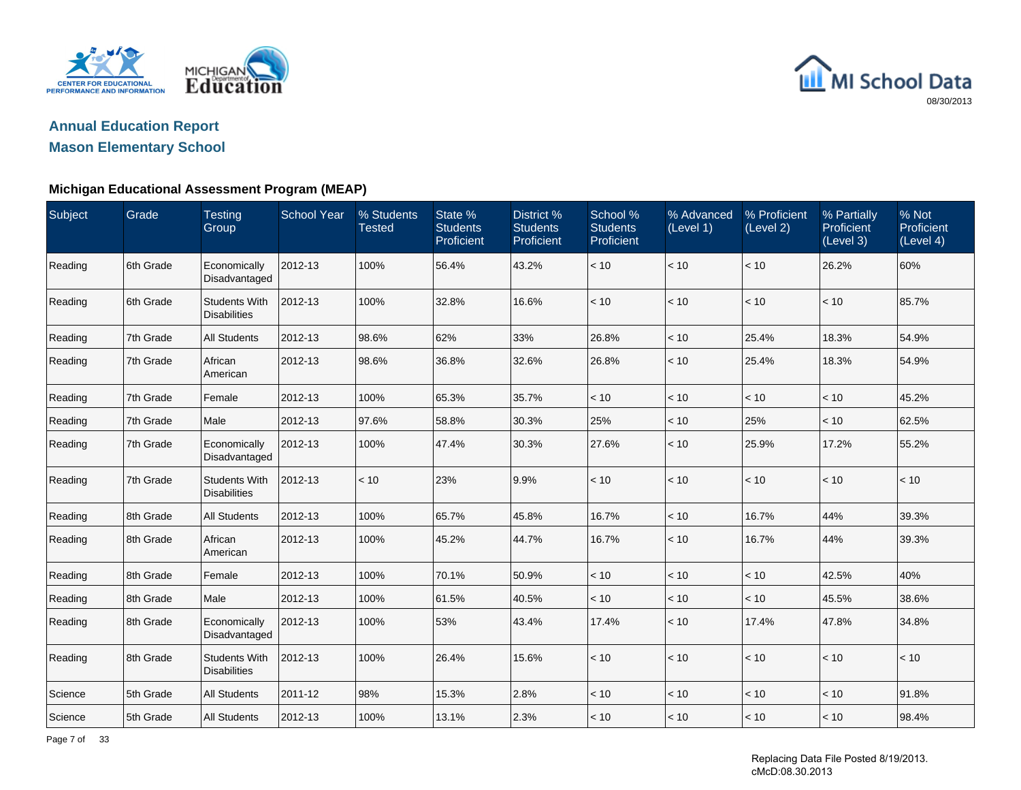

## **Annual Education ReportMason Elementary School**

| Subject | Grade     | <b>Testing</b><br>Group                     | <b>School Year</b> | % Students<br><b>Tested</b> | State %<br><b>Students</b><br>Proficient | <b>District %</b><br><b>Students</b><br>Proficient | School %<br><b>Students</b><br>Proficient | % Advanced<br>(Level 1) | % Proficient<br>(Level 2) | % Partially<br>Proficient<br>(Level 3) | % Not<br>Proficient<br>(Level 4) |
|---------|-----------|---------------------------------------------|--------------------|-----------------------------|------------------------------------------|----------------------------------------------------|-------------------------------------------|-------------------------|---------------------------|----------------------------------------|----------------------------------|
| Reading | 6th Grade | Economically<br>Disadvantaged               | 2012-13            | 100%                        | 56.4%                                    | 43.2%                                              | < 10                                      | < 10                    | < 10                      | 26.2%                                  | 60%                              |
| Reading | 6th Grade | <b>Students With</b><br><b>Disabilities</b> | 2012-13            | 100%                        | 32.8%                                    | 16.6%                                              | < 10                                      | < 10                    | < 10                      | < 10                                   | 85.7%                            |
| Reading | 7th Grade | <b>All Students</b>                         | 2012-13            | 98.6%                       | 62%                                      | 33%                                                | 26.8%                                     | < 10                    | 25.4%                     | 18.3%                                  | 54.9%                            |
| Reading | 7th Grade | African<br>American                         | 2012-13            | 98.6%                       | 36.8%                                    | 32.6%                                              | 26.8%                                     | < 10                    | 25.4%                     | 18.3%                                  | 54.9%                            |
| Reading | 7th Grade | Female                                      | 2012-13            | 100%                        | 65.3%                                    | 35.7%                                              | < 10                                      | < 10                    | < 10                      | < 10                                   | 45.2%                            |
| Reading | 7th Grade | Male                                        | 2012-13            | 97.6%                       | 58.8%                                    | 30.3%                                              | 25%                                       | $<10$                   | 25%                       | < 10                                   | 62.5%                            |
| Reading | 7th Grade | Economically<br>Disadvantaged               | 2012-13            | 100%                        | 47.4%                                    | 30.3%                                              | 27.6%                                     | < 10                    | 25.9%                     | 17.2%                                  | 55.2%                            |
| Reading | 7th Grade | <b>Students With</b><br><b>Disabilities</b> | 2012-13            | < 10                        | 23%                                      | 9.9%                                               | < 10                                      | < 10                    | < 10                      | < 10                                   | < 10                             |
| Reading | 8th Grade | <b>All Students</b>                         | 2012-13            | 100%                        | 65.7%                                    | 45.8%                                              | 16.7%                                     | < 10                    | 16.7%                     | 44%                                    | 39.3%                            |
| Reading | 8th Grade | African<br>American                         | 2012-13            | 100%                        | 45.2%                                    | 44.7%                                              | 16.7%                                     | < 10                    | 16.7%                     | 44%                                    | 39.3%                            |
| Reading | 8th Grade | Female                                      | 2012-13            | 100%                        | 70.1%                                    | 50.9%                                              | $<10$                                     | < 10                    | < 10                      | 42.5%                                  | 40%                              |
| Reading | 8th Grade | Male                                        | 2012-13            | 100%                        | 61.5%                                    | 40.5%                                              | < 10                                      | < 10                    | < 10                      | 45.5%                                  | 38.6%                            |
| Reading | 8th Grade | Economically<br>Disadvantaged               | 2012-13            | 100%                        | 53%                                      | 43.4%                                              | 17.4%                                     | < 10                    | 17.4%                     | 47.8%                                  | 34.8%                            |
| Reading | 8th Grade | <b>Students With</b><br><b>Disabilities</b> | 2012-13            | 100%                        | 26.4%                                    | 15.6%                                              | < 10                                      | < 10                    | < 10                      | < 10                                   | < 10                             |
| Science | 5th Grade | All Students                                | 2011-12            | 98%                         | 15.3%                                    | 2.8%                                               | < 10                                      | < 10                    | < 10                      | < 10                                   | 91.8%                            |
| Science | 5th Grade | <b>All Students</b>                         | 2012-13            | 100%                        | 13.1%                                    | 2.3%                                               | < 10                                      | < 10                    | < 10                      | < 10                                   | 98.4%                            |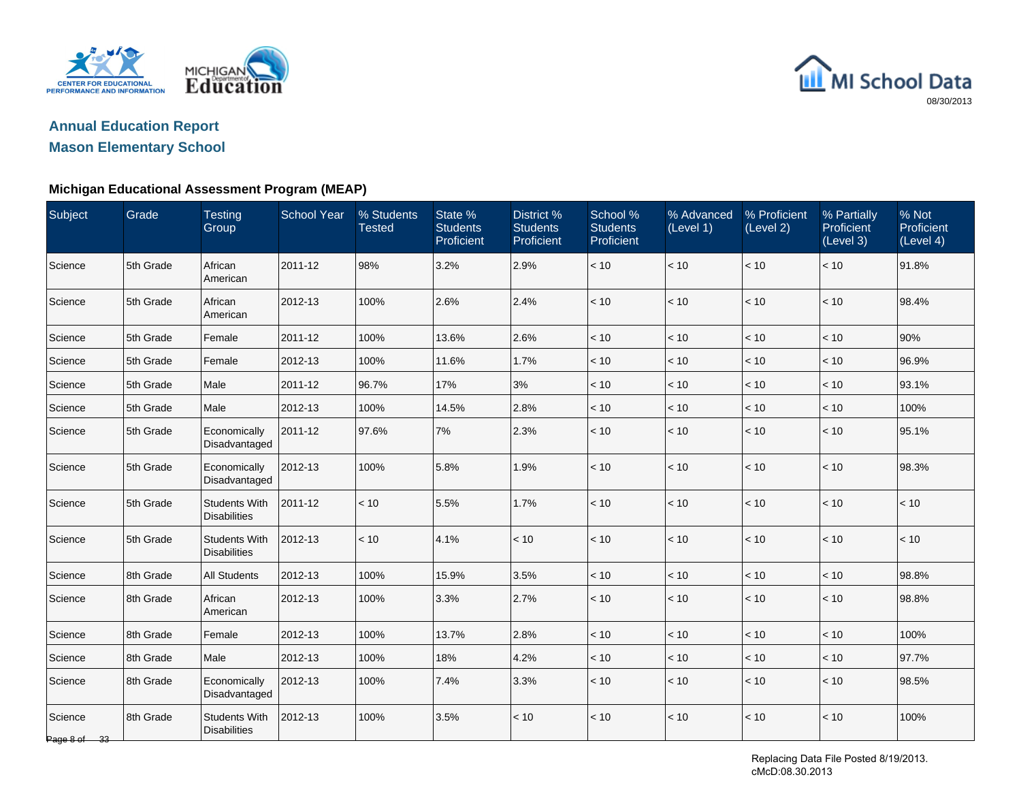



| Subject                 | Grade     | <b>Testing</b><br>Group                     | <b>School Year</b> | % Students<br><b>Tested</b> | State %<br><b>Students</b><br>Proficient | District <sub>%</sub><br><b>Students</b><br>Proficient | School %<br><b>Students</b><br>Proficient | % Advanced<br>(Level 1) | % Proficient<br>(Level 2) | % Partially<br>Proficient<br>(Level 3) | % Not<br>Proficient<br>(Level 4) |
|-------------------------|-----------|---------------------------------------------|--------------------|-----------------------------|------------------------------------------|--------------------------------------------------------|-------------------------------------------|-------------------------|---------------------------|----------------------------------------|----------------------------------|
| Science                 | 5th Grade | African<br>American                         | 2011-12            | 98%                         | 3.2%                                     | 2.9%                                                   | < 10                                      | < 10                    | < 10                      | < 10                                   | 91.8%                            |
| Science                 | 5th Grade | African<br>American                         | 2012-13            | 100%                        | 2.6%                                     | 2.4%                                                   | < 10                                      | < 10                    | < 10                      | < 10                                   | 98.4%                            |
| Science                 | 5th Grade | Female                                      | 2011-12            | 100%                        | 13.6%                                    | 2.6%                                                   | < 10                                      | < 10                    | < 10                      | < 10                                   | 90%                              |
| Science                 | 5th Grade | Female                                      | 2012-13            | 100%                        | 11.6%                                    | 1.7%                                                   | < 10                                      | < 10                    | $<10$                     | < 10                                   | 96.9%                            |
| Science                 | 5th Grade | Male                                        | 2011-12            | 96.7%                       | 17%                                      | 3%                                                     | < 10                                      | < 10                    | < 10                      | < 10                                   | 93.1%                            |
| Science                 | 5th Grade | Male                                        | 2012-13            | 100%                        | 14.5%                                    | 2.8%                                                   | < 10                                      | < 10                    | < 10                      | < 10                                   | 100%                             |
| Science                 | 5th Grade | Economically<br>Disadvantaged               | 2011-12            | 97.6%                       | 7%                                       | 2.3%                                                   | $<10$                                     | < 10                    | $<10$                     | < 10                                   | 95.1%                            |
| Science                 | 5th Grade | Economically<br>Disadvantaged               | 2012-13            | 100%                        | 5.8%                                     | 1.9%                                                   | < 10                                      | < 10                    | < 10                      | < 10                                   | 98.3%                            |
| Science                 | 5th Grade | <b>Students With</b><br><b>Disabilities</b> | 2011-12            | $<10$                       | 5.5%                                     | 1.7%                                                   | < 10                                      | < 10                    | $<10$                     | < 10                                   | $<10$                            |
| Science                 | 5th Grade | <b>Students With</b><br><b>Disabilities</b> | 2012-13            | < 10                        | 4.1%                                     | < 10                                                   | < 10                                      | < 10                    | < 10                      | < 10                                   | < 10                             |
| Science                 | 8th Grade | <b>All Students</b>                         | 2012-13            | 100%                        | 15.9%                                    | 3.5%                                                   | < 10                                      | < 10                    | $<10$                     | < 10                                   | 98.8%                            |
| Science                 | 8th Grade | African<br>American                         | 2012-13            | 100%                        | 3.3%                                     | 2.7%                                                   | < 10                                      | < 10                    | $<10$                     | < 10                                   | 98.8%                            |
| Science                 | 8th Grade | Female                                      | 2012-13            | 100%                        | 13.7%                                    | 2.8%                                                   | < 10                                      | < 10                    | $<10$                     | < 10                                   | 100%                             |
| Science                 | 8th Grade | Male                                        | 2012-13            | 100%                        | 18%                                      | 4.2%                                                   | < 10                                      | < 10                    | < 10                      | < 10                                   | 97.7%                            |
| Science                 | 8th Grade | Economically<br>Disadvantaged               | 2012-13            | 100%                        | 7.4%                                     | 3.3%                                                   | < 10                                      | < 10                    | < 10                      | < 10                                   | 98.5%                            |
| Science<br>Page 8 of 33 | 8th Grade | <b>Students With</b><br><b>Disabilities</b> | 2012-13            | 100%                        | 3.5%                                     | < 10                                                   | < 10                                      | < 10                    | < 10                      | $<10$                                  | 100%                             |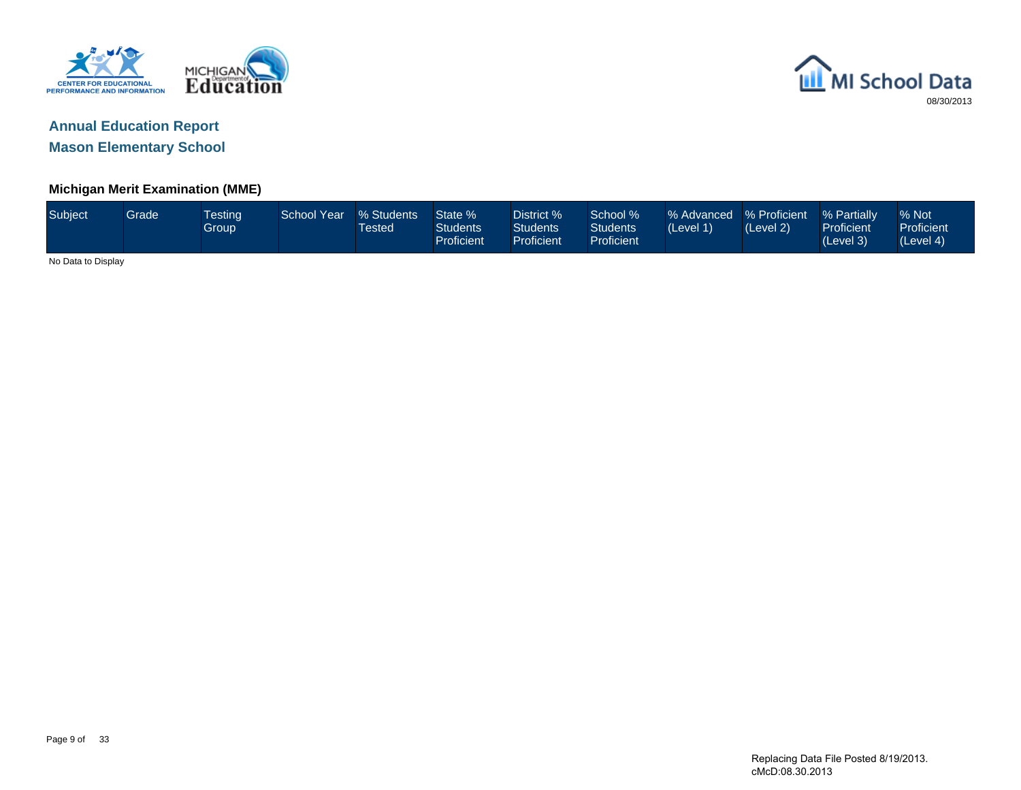



#### **Michigan Merit Examination (MME)**

| Subject            | Grade <sup>1</sup> | <b>Testing</b><br>Group | School Year | % Students<br><b>Tested</b> | State %<br><b>Students</b><br>Proficient | District %<br><b>Students</b><br>Proficient | School %<br><b>Students</b><br>Proficient | % Advanced % Proficient<br>(Level 1) | (Level 2) | % Partially<br>Proficient<br>(Level 3) | % Not<br>Proficient<br>(Level 4) |
|--------------------|--------------------|-------------------------|-------------|-----------------------------|------------------------------------------|---------------------------------------------|-------------------------------------------|--------------------------------------|-----------|----------------------------------------|----------------------------------|
| No Data to Display |                    |                         |             |                             |                                          |                                             |                                           |                                      |           |                                        |                                  |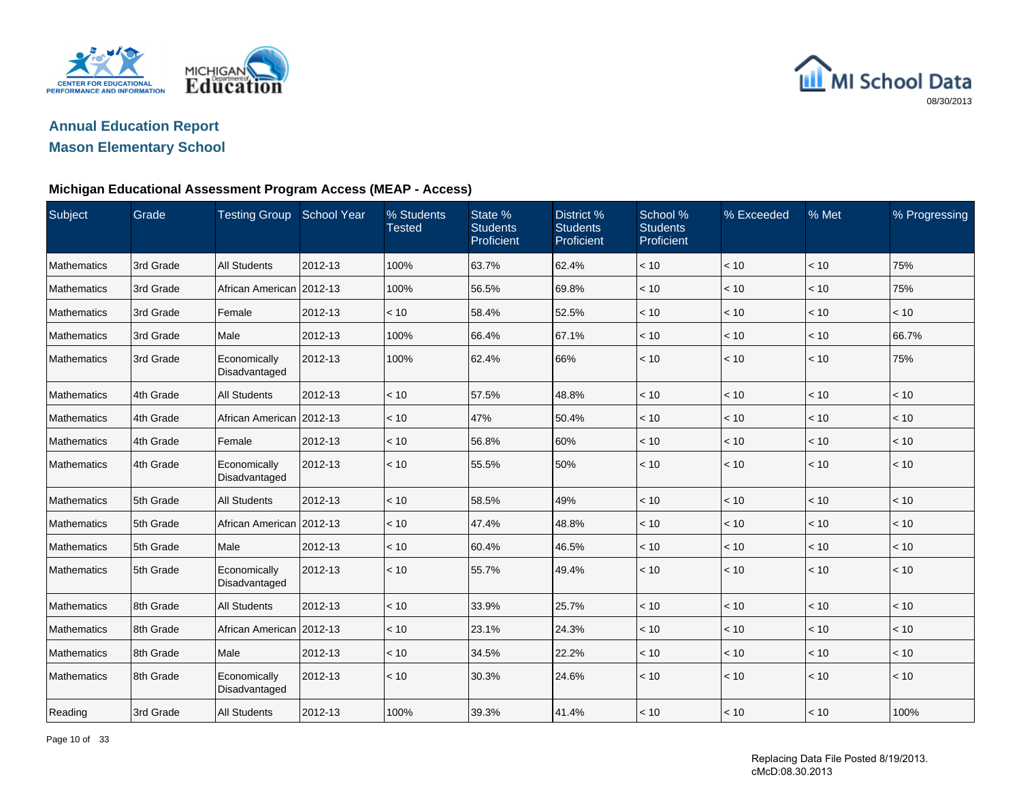



#### **Michigan Educational Assessment Program Access (MEAP - Access)**

| Subject     | Grade     | <b>Testing Group</b>          | School Year | % Students<br><b>Tested</b> | State %<br><b>Students</b><br>Proficient | District %<br><b>Students</b><br>Proficient | School %<br><b>Students</b><br>Proficient | % Exceeded   | % Met | % Progressing |
|-------------|-----------|-------------------------------|-------------|-----------------------------|------------------------------------------|---------------------------------------------|-------------------------------------------|--------------|-------|---------------|
| Mathematics | 3rd Grade | <b>All Students</b>           | 2012-13     | 100%                        | 63.7%                                    | 62.4%                                       | < 10                                      | < 10         | < 10  | 75%           |
| Mathematics | 3rd Grade | African American              | 2012-13     | 100%                        | 56.5%                                    | 69.8%                                       | < 10                                      | < 10         | < 10  | 75%           |
| Mathematics | 3rd Grade | Female                        | 2012-13     | < 10                        | 58.4%                                    | 52.5%                                       | < 10                                      | < 10         | < 10  | < 10          |
| Mathematics | 3rd Grade | Male                          | 2012-13     | 100%                        | 66.4%                                    | 67.1%                                       | < 10                                      | < 10         | < 10  | 66.7%         |
| Mathematics | 3rd Grade | Economically<br>Disadvantaged | 2012-13     | 100%                        | 62.4%                                    | 66%                                         | < 10                                      | < 10         | < 10  | 75%           |
| Mathematics | 4th Grade | <b>All Students</b>           | 2012-13     | < 10                        | 57.5%                                    | 48.8%                                       | < 10                                      | < 10         | < 10  | < 10          |
| Mathematics | 4th Grade | African American 2012-13      |             | < 10                        | 47%                                      | 50.4%                                       | < 10                                      | < 10         | < 10  | < 10          |
| Mathematics | 4th Grade | Female                        | 2012-13     | < 10                        | 56.8%                                    | 60%                                         | < 10                                      | < 10         | < 10  | < 10          |
| Mathematics | 4th Grade | Economically<br>Disadvantaged | 2012-13     | < 10                        | 55.5%                                    | 50%                                         | < 10                                      | < 10         | < 10  | < 10          |
| Mathematics | 5th Grade | <b>All Students</b>           | 2012-13     | < 10                        | 58.5%                                    | 49%                                         | < 10                                      | < 10         | $<10$ | < 10          |
| Mathematics | 5th Grade | African American 2012-13      |             | < 10                        | 47.4%                                    | 48.8%                                       | < 10                                      | < 10         | < 10  | < 10          |
| Mathematics | 5th Grade | Male                          | 2012-13     | < 10                        | 60.4%                                    | 46.5%                                       | < 10                                      | < 10         | < 10  | < 10          |
| Mathematics | 5th Grade | Economically<br>Disadvantaged | 2012-13     | < 10                        | 55.7%                                    | 49.4%                                       | < 10                                      | < 10         | < 10  | < 10          |
| Mathematics | 8th Grade | <b>All Students</b>           | 2012-13     | < 10                        | 33.9%                                    | 25.7%                                       | < 10                                      | $ $ < 10     | < 10  | < 10          |
| Mathematics | 8th Grade | African American 2012-13      |             | < 10                        | 23.1%                                    | 24.3%                                       | < 10                                      | < 10         | < 10  | < 10          |
| Mathematics | 8th Grade | Male                          | 2012-13     | < 10                        | 34.5%                                    | 22.2%                                       | < 10                                      | $<10$        | < 10  | < 10          |
| Mathematics | 8th Grade | Economically<br>Disadvantaged | 2012-13     | < 10                        | 30.3%                                    | 24.6%                                       | < 10                                      | $ $ < 10     | < 10  | < 10          |
| Reading     | 3rd Grade | <b>All Students</b>           | 2012-13     | 100%                        | 39.3%                                    | 41.4%                                       | < 10                                      | $\vert$ < 10 | < 10  | 100%          |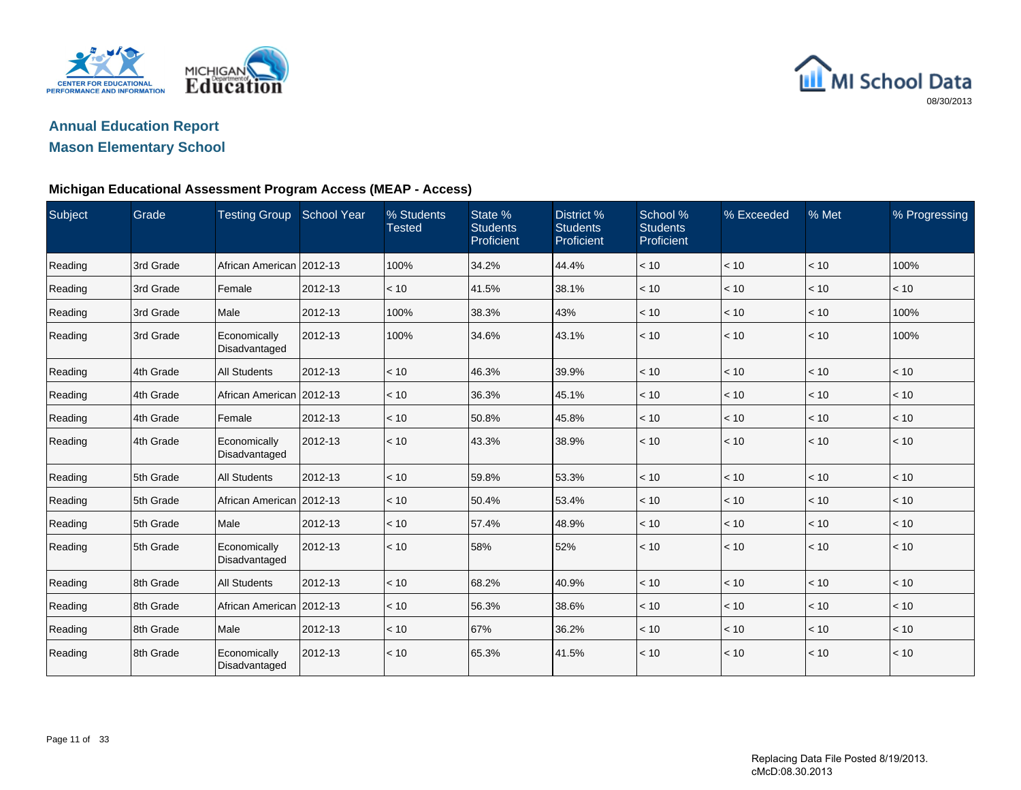



#### **Michigan Educational Assessment Program Access (MEAP - Access)**

| Subject | Grade     | <b>Testing Group</b>          | <b>School Year</b> | % Students<br><b>Tested</b> | State %<br><b>Students</b><br>Proficient | District %<br><b>Students</b><br>Proficient | School %<br><b>Students</b><br>Proficient | % Exceeded   | % Met | % Progressing |
|---------|-----------|-------------------------------|--------------------|-----------------------------|------------------------------------------|---------------------------------------------|-------------------------------------------|--------------|-------|---------------|
| Reading | 3rd Grade | African American   2012-13    |                    | 100%                        | 34.2%                                    | 44.4%                                       | < 10                                      | < 10         | < 10  | 100%          |
| Reading | 3rd Grade | Female                        | 2012-13            | < 10                        | 41.5%                                    | 38.1%                                       | < 10                                      | < 10         | < 10  | < 10          |
| Reading | 3rd Grade | Male                          | 2012-13            | 100%                        | 38.3%                                    | 43%                                         | < 10                                      | < 10         | < 10  | 100%          |
| Reading | 3rd Grade | Economically<br>Disadvantaged | 2012-13            | 100%                        | 34.6%                                    | 43.1%                                       | < 10                                      | $ $ < 10     | < 10  | 100%          |
| Reading | 4th Grade | <b>All Students</b>           | 2012-13            | < 10                        | 46.3%                                    | 39.9%                                       | < 10                                      | < 10         | < 10  | < 10          |
| Reading | 4th Grade | African American 2012-13      |                    | < 10                        | 36.3%                                    | 45.1%                                       | < 10                                      | < 10         | < 10  | < 10          |
| Reading | 4th Grade | Female                        | 2012-13            | < 10                        | 50.8%                                    | 45.8%                                       | < 10                                      | < 10         | < 10  | < 10          |
| Reading | 4th Grade | Economically<br>Disadvantaged | 2012-13            | < 10                        | 43.3%                                    | 38.9%                                       | < 10                                      | $\vert$ < 10 | < 10  | < 10          |
| Reading | 5th Grade | <b>All Students</b>           | 2012-13            | < 10                        | 59.8%                                    | 53.3%                                       | < 10                                      | < 10         | < 10  | < 10          |
| Reading | 5th Grade | African American 2012-13      |                    | < 10                        | 50.4%                                    | 53.4%                                       | < 10                                      | < 10         | < 10  | < 10          |
| Reading | 5th Grade | Male                          | 2012-13            | < 10                        | 57.4%                                    | 48.9%                                       | < 10                                      | < 10         | < 10  | < 10          |
| Reading | 5th Grade | Economically<br>Disadvantaged | 2012-13            | < 10                        | 58%                                      | 52%                                         | < 10                                      | $\vert$ < 10 | < 10  | < 10          |
| Reading | 8th Grade | <b>All Students</b>           | 2012-13            | < 10                        | 68.2%                                    | 40.9%                                       | < 10                                      | < 10         | < 10  | < 10          |
| Reading | 8th Grade | African American 2012-13      |                    | < 10                        | 56.3%                                    | 38.6%                                       | < 10                                      | < 10         | < 10  | < 10          |
| Reading | 8th Grade | Male                          | 2012-13            | < 10                        | 67%                                      | 36.2%                                       | < 10                                      | < 10         | < 10  | < 10          |
| Reading | 8th Grade | Economically<br>Disadvantaged | 2012-13            | < 10                        | 65.3%                                    | 41.5%                                       | < 10                                      | < 10         | < 10  | < 10          |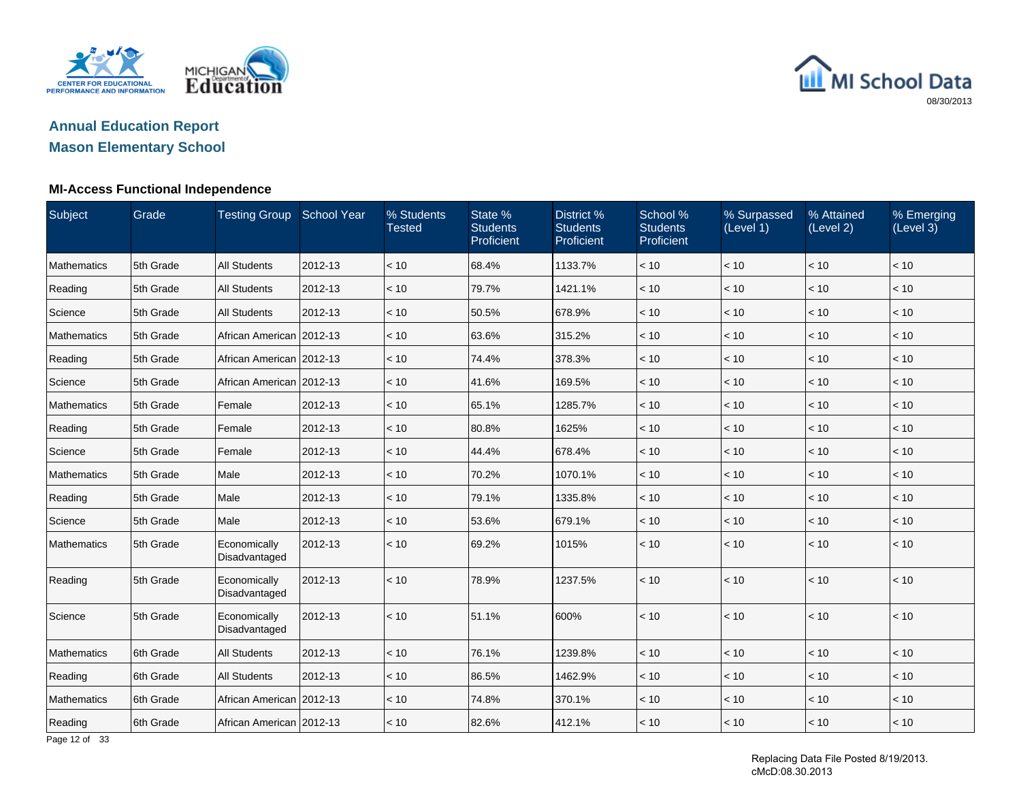

## **Annual Education ReportMason Elementary School**

#### **MI-Access Functional Independence**

| Subject            | Grade      | Testing Group School Year     |         | % Students<br><b>Tested</b> | State %<br><b>Students</b><br>Proficient | District %<br><b>Students</b><br>Proficient | School %<br><b>Students</b><br>Proficient | % Surpassed<br>(Level 1) | % Attained<br>(Level 2) | % Emerging<br>(Level 3) |
|--------------------|------------|-------------------------------|---------|-----------------------------|------------------------------------------|---------------------------------------------|-------------------------------------------|--------------------------|-------------------------|-------------------------|
| Mathematics        | 5th Grade  | <b>All Students</b>           | 2012-13 | < 10                        | 68.4%                                    | 1133.7%                                     | < 10                                      | < 10                     | < 10                    | < 10                    |
| Reading            | 5th Grade  | <b>All Students</b>           | 2012-13 | < 10                        | 79.7%                                    | 1421.1%                                     | < 10                                      | < 10                     | < 10                    | < 10                    |
| Science            | 5th Grade  | <b>All Students</b>           | 2012-13 | < 10                        | 50.5%                                    | 678.9%                                      | < 10                                      | < 10                     | < 10                    | < 10                    |
| <b>Mathematics</b> | 5th Grade  | African American 2012-13      |         | < 10                        | 63.6%                                    | 315.2%                                      | < 10                                      | < 10                     | < 10                    | < 10                    |
| Reading            | 5th Grade  | African American 2012-13      |         | < 10                        | 74.4%                                    | 378.3%                                      | < 10                                      | < 10                     | < 10                    | < 10                    |
| Science            | 5th Grade  | African American 2012-13      |         | < 10                        | 41.6%                                    | 169.5%                                      | < 10                                      | < 10                     | < 10                    | < 10                    |
| Mathematics        | 5th Grade  | Female                        | 2012-13 | < 10                        | 65.1%                                    | 1285.7%                                     | < 10                                      | < 10                     | < 10                    | < 10                    |
| Reading            | 5th Grade  | Female                        | 2012-13 | < 10                        | 80.8%                                    | 1625%                                       | < 10                                      | < 10                     | < 10                    | < 10                    |
| Science            | 5th Grade  | Female                        | 2012-13 | < 10                        | 44.4%                                    | 678.4%                                      | < 10                                      | < 10                     | < 10                    | < 10                    |
| Mathematics        | 5th Grade  | Male                          | 2012-13 | < 10                        | 70.2%                                    | 1070.1%                                     | < 10                                      | < 10                     | < 10                    | < 10                    |
| Reading            | 5th Grade  | Male                          | 2012-13 | < 10                        | 79.1%                                    | 1335.8%                                     | < 10                                      | < 10                     | < 10                    | < 10                    |
| Science            | 5th Grade  | Male                          | 2012-13 | < 10                        | 53.6%                                    | 679.1%                                      | < 10                                      | < 10                     | < 10                    | $<10$                   |
| Mathematics        | 5th Grade  | Economically<br>Disadvantaged | 2012-13 | < 10                        | 69.2%                                    | 1015%                                       | < 10                                      | $ $ < 10                 | < 10                    | < 10                    |
| Reading            | 5th Grade  | Economically<br>Disadvantaged | 2012-13 | < 10                        | 78.9%                                    | 1237.5%                                     | < 10                                      | $ $ < 10                 | < 10                    | < 10                    |
| Science            | 5th Grade  | Economically<br>Disadvantaged | 2012-13 | < 10                        | 51.1%                                    | 600%                                        | < 10                                      | $\vert$ < 10             | < 10                    | < 10                    |
| Mathematics        | 6th Grade  | <b>All Students</b>           | 2012-13 | < 10                        | 76.1%                                    | 1239.8%                                     | < 10                                      | $<10$                    | $<10$                   | < 10                    |
| Reading            | 6th Grade  | <b>All Students</b>           | 2012-13 | < 10                        | 86.5%                                    | 1462.9%                                     | < 10                                      | < 10                     | < 10                    | < 10                    |
| Mathematics        | 16th Grade | African American 2012-13      |         | < 10                        | 74.8%                                    | 370.1%                                      | < 10                                      | < 10                     | < 10                    | < 10                    |
| Reading            | 6th Grade  | African American 2012-13      |         | < 10                        | 82.6%                                    | 412.1%                                      | < 10                                      | $\leq 10$                | < 10                    | < 10                    |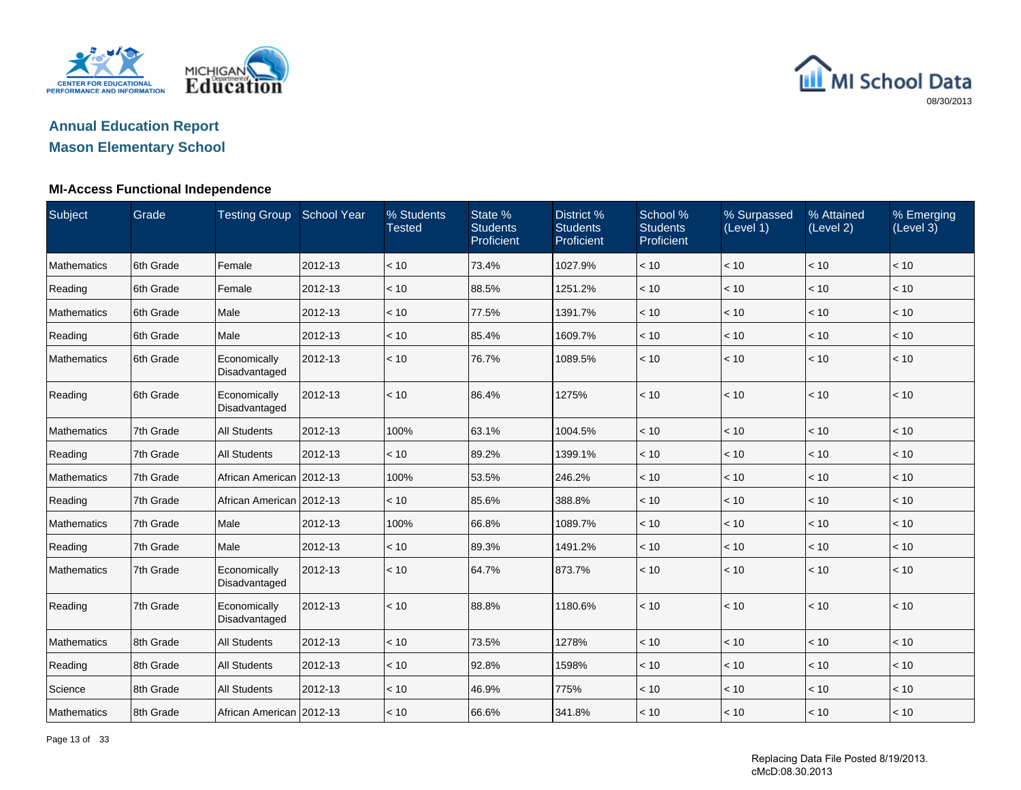

## **Annual Education ReportMason Elementary School**

#### **MI-Access Functional Independence**

| Subject     | Grade     | Testing Group School Year     |         | % Students<br><b>Tested</b> | State %<br><b>Students</b><br>Proficient | District %<br><b>Students</b><br>Proficient | School %<br><b>Students</b><br>Proficient | % Surpassed<br>(Level 1) | % Attained<br>(Level 2) | % Emerging<br>(Level 3) |
|-------------|-----------|-------------------------------|---------|-----------------------------|------------------------------------------|---------------------------------------------|-------------------------------------------|--------------------------|-------------------------|-------------------------|
| Mathematics | 6th Grade | Female                        | 2012-13 | < 10                        | 73.4%                                    | 1027.9%                                     | < 10                                      | < 10                     | < 10                    | < 10                    |
| Reading     | 6th Grade | Female                        | 2012-13 | < 10                        | 88.5%                                    | 1251.2%                                     | $<10$                                     | < 10                     | < 10                    | < 10                    |
| Mathematics | 6th Grade | Male                          | 2012-13 | < 10                        | 77.5%                                    | 1391.7%                                     | < 10                                      | < 10                     | < 10                    | < 10                    |
| Reading     | 6th Grade | Male                          | 2012-13 | < 10                        | 85.4%                                    | 1609.7%                                     | < 10                                      | < 10                     | < 10                    | < 10                    |
| Mathematics | 6th Grade | Economically<br>Disadvantaged | 2012-13 | < 10                        | 76.7%                                    | 1089.5%                                     | < 10                                      | < 10                     | < 10                    | < 10                    |
| Reading     | 6th Grade | Economically<br>Disadvantaged | 2012-13 | < 10                        | 86.4%                                    | 1275%                                       | < 10                                      | < 10                     | < 10                    | < 10                    |
| Mathematics | 7th Grade | <b>All Students</b>           | 2012-13 | 100%                        | 63.1%                                    | 1004.5%                                     | < 10                                      | < 10                     | < 10                    | < 10                    |
| Reading     | 7th Grade | <b>All Students</b>           | 2012-13 | < 10                        | 89.2%                                    | 1399.1%                                     | < 10                                      | < 10                     | < 10                    | < 10                    |
| Mathematics | 7th Grade | African American   2012-13    |         | 100%                        | 53.5%                                    | 246.2%                                      | < 10                                      | < 10                     | < 10                    | < 10                    |
| Reading     | 7th Grade | African American 2012-13      |         | < 10                        | 85.6%                                    | 388.8%                                      | < 10                                      | < 10                     | < 10                    | < 10                    |
| Mathematics | 7th Grade | Male                          | 2012-13 | 100%                        | 66.8%                                    | 1089.7%                                     | < 10                                      | < 10                     | < 10                    | < 10                    |
| Reading     | 7th Grade | Male                          | 2012-13 | < 10                        | 89.3%                                    | 1491.2%                                     | < 10                                      | < 10                     | < 10                    | < 10                    |
| Mathematics | 7th Grade | Economically<br>Disadvantaged | 2012-13 | < 10                        | 64.7%                                    | 873.7%                                      | < 10                                      | < 10                     | < 10                    | < 10                    |
| Reading     | 7th Grade | Economically<br>Disadvantaged | 2012-13 | < 10                        | 88.8%                                    | 1180.6%                                     | < 10                                      | < 10                     | < 10                    | < 10                    |
| Mathematics | 8th Grade | <b>All Students</b>           | 2012-13 | < 10                        | 73.5%                                    | 1278%                                       | < 10                                      | < 10                     | < 10                    | < 10                    |
| Reading     | 8th Grade | <b>All Students</b>           | 2012-13 | < 10                        | 92.8%                                    | 1598%                                       | < 10                                      | < 10                     | < 10                    | < 10                    |
| Science     | 8th Grade | <b>All Students</b>           | 2012-13 | < 10                        | 46.9%                                    | 775%                                        | < 10                                      | < 10                     | < 10                    | < 10                    |
| Mathematics | 8th Grade | African American   2012-13    |         | < 10                        | 66.6%                                    | 341.8%                                      | < 10                                      | < 10                     | < 10                    | < 10                    |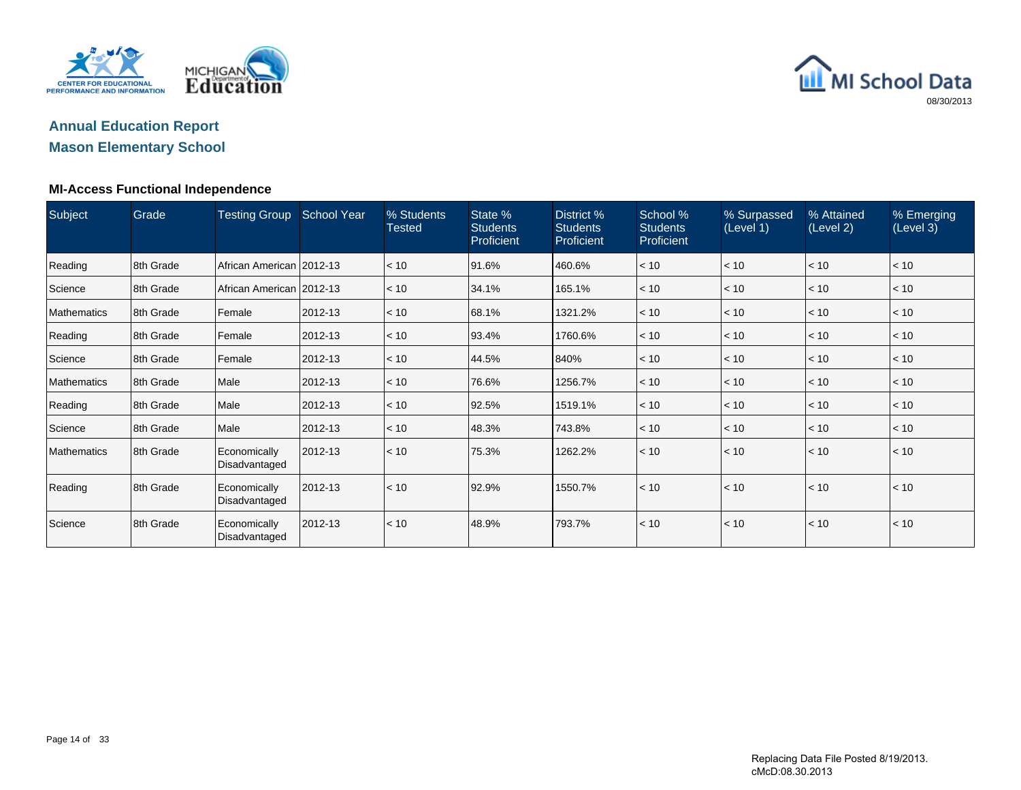

## **Annual Education ReportMason Elementary School**

#### **MI-Access Functional Independence**

| Subject            | Grade     | <b>Testing Group</b>          | <b>School Year</b> | % Students<br><b>Tested</b> | State %<br><b>Students</b><br>Proficient | District %<br><b>Students</b><br>Proficient | School %<br><b>Students</b><br><b>Proficient</b> | % Surpassed<br>(Level 1) | % Attained<br>(Level 2) | % Emerging<br>(Level 3) |
|--------------------|-----------|-------------------------------|--------------------|-----------------------------|------------------------------------------|---------------------------------------------|--------------------------------------------------|--------------------------|-------------------------|-------------------------|
| Reading            | 8th Grade | African American   2012-13    |                    | < 10                        | 91.6%                                    | 460.6%                                      | < 10                                             | < 10                     | < 10                    | < 10                    |
| Science            | 8th Grade | African American 2012-13      |                    | < 10                        | 34.1%                                    | 165.1%                                      | < 10                                             | < 10                     | < 10                    | $ $ < 10                |
| Mathematics        | 8th Grade | Female                        | 2012-13            | < 10                        | 68.1%                                    | 1321.2%                                     | < 10                                             | < 10                     | < 10                    | < 10                    |
| Reading            | 8th Grade | Female                        | 2012-13            | < 10                        | 93.4%                                    | 1760.6%                                     | < 10                                             | < 10                     | < 10                    | < 10                    |
| Science            | 8th Grade | Female                        | 2012-13            | < 10                        | 44.5%                                    | 840%                                        | < 10                                             | < 10                     | < 10                    | < 10                    |
| <b>Mathematics</b> | 8th Grade | Male                          | 2012-13            | < 10                        | 76.6%                                    | 1256.7%                                     | < 10                                             | < 10                     | < 10                    | $ $ < 10                |
| Reading            | 8th Grade | Male                          | 2012-13            | < 10                        | 92.5%                                    | 1519.1%                                     | < 10                                             | < 10                     | < 10                    | $ $ < 10                |
| Science            | 8th Grade | Male                          | 2012-13            | < 10                        | 48.3%                                    | 743.8%                                      | < 10                                             | < 10                     | < 10                    | $ $ < 10                |
| <b>Mathematics</b> | 8th Grade | Economically<br>Disadvantaged | 2012-13            | < 10                        | 75.3%                                    | 1262.2%                                     | < 10                                             | < 10                     | < 10                    | < 10                    |
| Reading            | 8th Grade | Economically<br>Disadvantaged | 2012-13            | < 10                        | 92.9%                                    | 1550.7%                                     | < 10                                             | < 10                     | < 10                    | < 10                    |
| Science            | 8th Grade | Economically<br>Disadvantaged | 2012-13            | < 10                        | 48.9%                                    | 793.7%                                      | < 10                                             | < 10                     | < 10                    | < 10                    |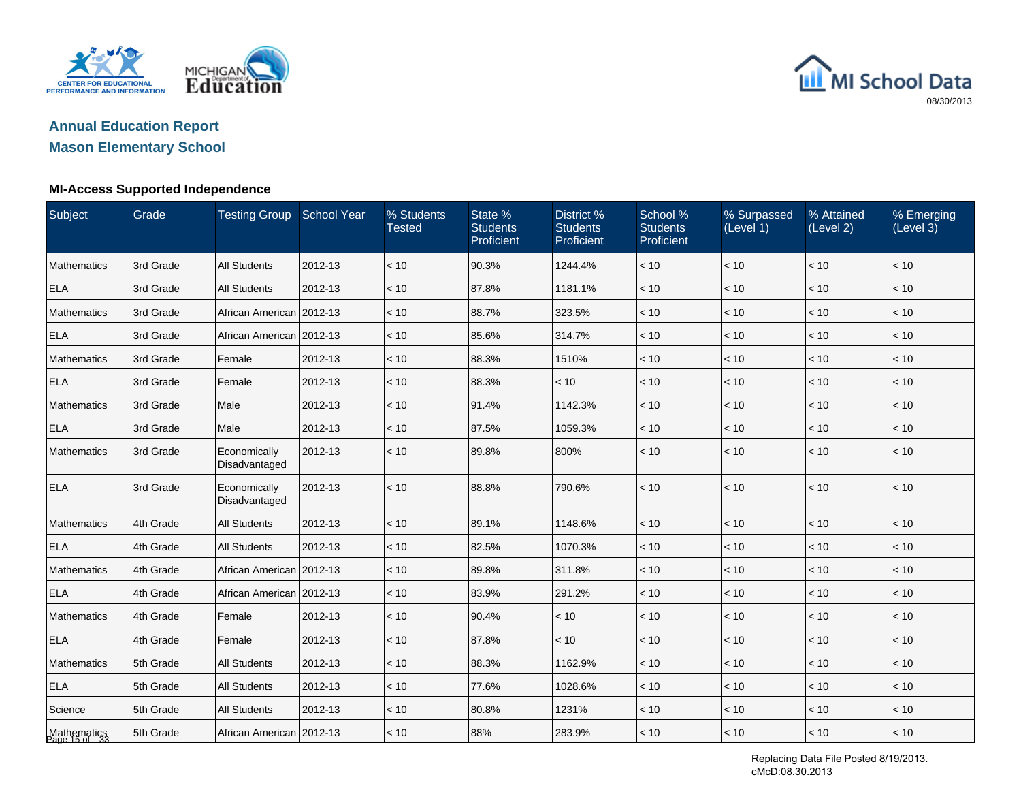



#### **MI-Access Supported Independence**

| Subject                      | Grade     | <b>Testing Group</b>          | <b>School Year</b> | % Students<br><b>Tested</b> | State %<br><b>Students</b><br>Proficient | District %<br><b>Students</b><br>Proficient | School %<br><b>Students</b><br>Proficient | % Surpassed<br>(Level 1) | % Attained<br>(Level 2) | % Emerging<br>(Level 3) |
|------------------------------|-----------|-------------------------------|--------------------|-----------------------------|------------------------------------------|---------------------------------------------|-------------------------------------------|--------------------------|-------------------------|-------------------------|
| Mathematics                  | 3rd Grade | <b>All Students</b>           | 2012-13            | < 10                        | 90.3%                                    | 1244.4%                                     | < 10                                      | < 10                     | < 10                    | < 10                    |
| <b>ELA</b>                   | 3rd Grade | <b>All Students</b>           | 2012-13            | < 10                        | 87.8%                                    | 1181.1%                                     | < 10                                      | < 10                     | < 10                    | < 10                    |
| <b>Mathematics</b>           | 3rd Grade | African American 2012-13      |                    | < 10                        | 88.7%                                    | 323.5%                                      | < 10                                      | < 10                     | < 10                    | < 10                    |
| <b>ELA</b>                   | 3rd Grade | African American 2012-13      |                    | < 10                        | 85.6%                                    | 314.7%                                      | < 10                                      | < 10                     | < 10                    | < 10                    |
| Mathematics                  | 3rd Grade | Female                        | 2012-13            | < 10                        | 88.3%                                    | 1510%                                       | < 10                                      | $<10$                    | < 10                    | < 10                    |
| <b>ELA</b>                   | 3rd Grade | Female                        | 2012-13            | < 10                        | 88.3%                                    | < 10                                        | $<10$                                     | < 10                     | < 10                    | < 10                    |
| <b>Mathematics</b>           | 3rd Grade | Male                          | 2012-13            | < 10                        | 91.4%                                    | 1142.3%                                     | < 10                                      | < 10                     | < 10                    | < 10                    |
| <b>ELA</b>                   | 3rd Grade | Male                          | 2012-13            | < 10                        | 87.5%                                    | 1059.3%                                     | < 10                                      | < 10                     | < 10                    | < 10                    |
| <b>Mathematics</b>           | 3rd Grade | Economically<br>Disadvantaged | 2012-13            | < 10                        | 89.8%                                    | 800%                                        | < 10                                      | < 10                     | < 10                    | < 10                    |
| <b>ELA</b>                   | 3rd Grade | Economically<br>Disadvantaged | 2012-13            | < 10                        | 88.8%                                    | 790.6%                                      | $<10$                                     | < 10                     | < 10                    | < 10                    |
| Mathematics                  | 4th Grade | <b>All Students</b>           | 2012-13            | < 10                        | 89.1%                                    | 1148.6%                                     | $<10$                                     | < 10                     | < 10                    | < 10                    |
| <b>ELA</b>                   | 4th Grade | <b>All Students</b>           | 2012-13            | < 10                        | 82.5%                                    | 1070.3%                                     | < 10                                      | < 10                     | < 10                    | < 10                    |
| <b>Mathematics</b>           | 4th Grade | African American 2012-13      |                    | < 10                        | 89.8%                                    | 311.8%                                      | < 10                                      | $<10$                    | < 10                    | < 10                    |
| <b>ELA</b>                   | 4th Grade | African American 2012-13      |                    | < 10                        | 83.9%                                    | 291.2%                                      | $<10$                                     | < 10                     | < 10                    | < 10                    |
| Mathematics                  | 4th Grade | Female                        | 2012-13            | < 10                        | 90.4%                                    | < 10                                        | < 10                                      | < 10                     | < 10                    | < 10                    |
| <b>ELA</b>                   | 4th Grade | Female                        | 2012-13            | < 10                        | 87.8%                                    | < 10                                        | < 10                                      | < 10                     | < 10                    | < 10                    |
| Mathematics                  | 5th Grade | <b>All Students</b>           | 2012-13            | < 10                        | 88.3%                                    | 1162.9%                                     | < 10                                      | < 10                     | < 10                    | < 10                    |
| <b>ELA</b>                   | 5th Grade | <b>All Students</b>           | 2012-13            | < 10                        | 77.6%                                    | 1028.6%                                     | < 10                                      | < 10                     | < 10                    | < 10                    |
| Science                      | 5th Grade | <b>All Students</b>           | 2012-13            | < 10                        | 80.8%                                    | 1231%                                       | $<10$                                     | < 10                     | < 10                    | < 10                    |
| Mathematics<br>Page 15 of 33 | 5th Grade | African American   2012-13    |                    | < 10                        | 88%                                      | 283.9%                                      | < 10                                      | < 10                     | < 10                    | < 10                    |

Replacing Data File Posted 8/19/2013. cMcD:08.30.2013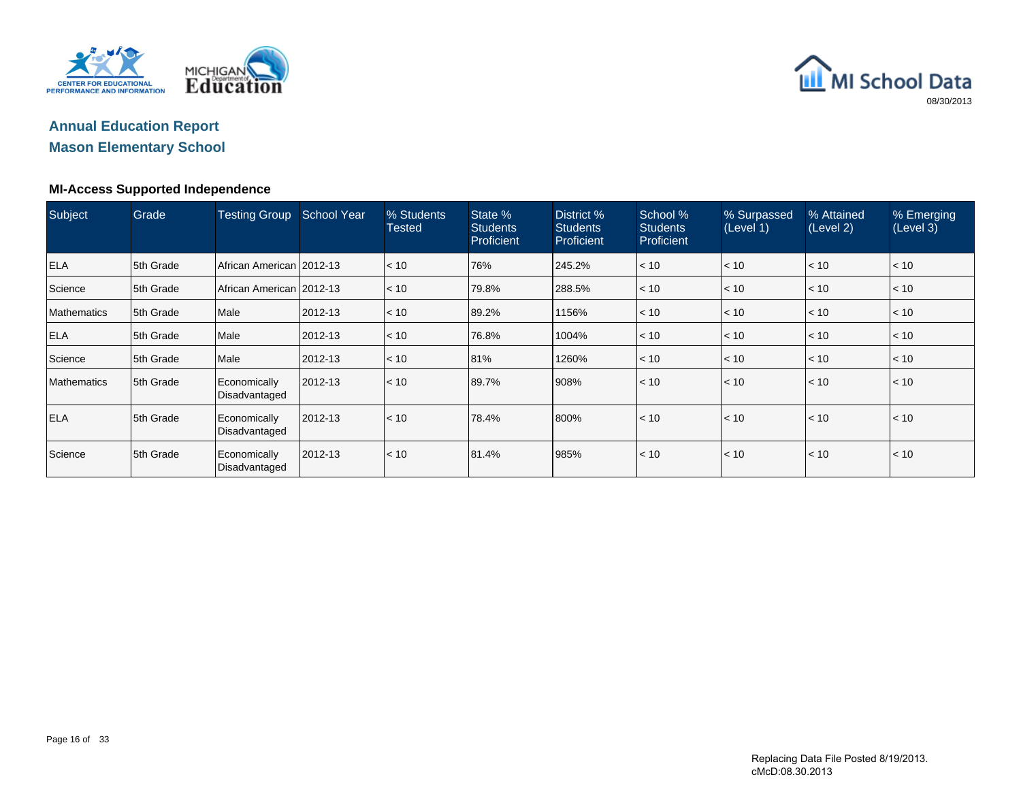

## **Annual Education ReportMason Elementary School**

#### **MI-Access Supported Independence**

| Subject            | Grade     | <b>Testing Group</b>          | <b>School Year</b> | % Students<br><b>Tested</b> | State %<br><b>Students</b><br><b>Proficient</b> | District %<br><b>Students</b><br>Proficient | School %<br><b>Students</b><br><b>Proficient</b> | % Surpassed<br>(Level 1) | % Attained<br>(Level 2) | % Emerging<br>(Level 3) |
|--------------------|-----------|-------------------------------|--------------------|-----------------------------|-------------------------------------------------|---------------------------------------------|--------------------------------------------------|--------------------------|-------------------------|-------------------------|
| <b>ELA</b>         | 5th Grade | African American 2012-13      |                    | $ $ < 10                    | 76%                                             | 245.2%                                      | < 10                                             | < 10                     | < 10                    | $ $ < 10                |
| Science            | 5th Grade | African American 2012-13      |                    | < 10                        | 79.8%                                           | 288.5%                                      | < 10                                             | $ $ < 10                 | $ $ < 10                | $ $ < 10                |
| <b>Mathematics</b> | 5th Grade | Male                          | 2012-13            | $\leq 10$                   | 89.2%                                           | 1156%                                       | < 10                                             | $ $ < 10                 | $\leq 10$               | $\vert$ < 10            |
| <b>ELA</b>         | 5th Grade | Male                          | 2012-13            | < 10                        | 76.8%                                           | 1004%                                       | < 10                                             | $ $ < 10                 | $ $ < 10                | $ $ < 10                |
| Science            | 5th Grade | Male                          | 2012-13            | < 10                        | 81%                                             | 1260%                                       | < 10                                             | $ $ < 10                 | < 10                    | $ $ < 10                |
| Mathematics        | 5th Grade | Economically<br>Disadvantaged | 2012-13            | < 10                        | 89.7%                                           | 908%                                        | < 10                                             | < 10                     | < 10                    | < 10                    |
| <b>ELA</b>         | 5th Grade | Economically<br>Disadvantaged | 2012-13            | $ $ < 10                    | 78.4%                                           | 800%                                        | < 10                                             | $\vert$ < 10             | < 10                    | < 10                    |
| Science            | 5th Grade | Economically<br>Disadvantaged | 2012-13            | < 10                        | 81.4%                                           | 985%                                        | < 10                                             | $ $ < 10                 | < 10                    | < 10                    |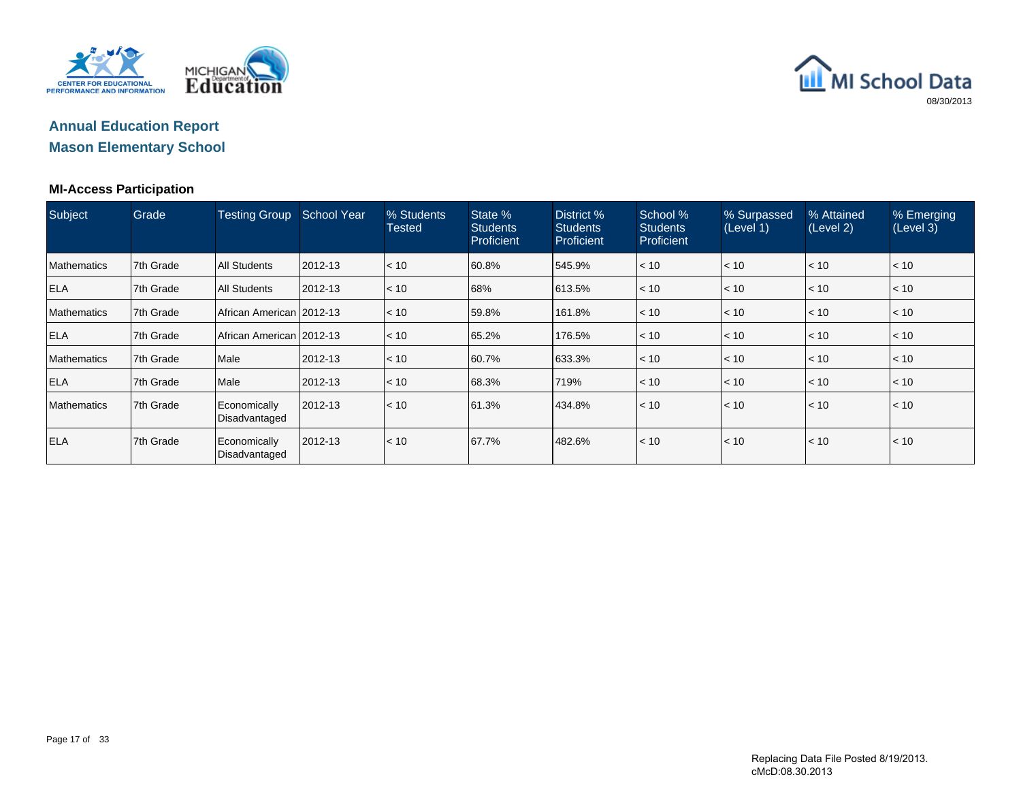



#### **MI-Access Participation**

| Subject            | Grade      | <b>Testing Group</b>          | <b>School Year</b> | % Students<br>Tested | State %<br><b>Students</b><br>Proficient | District %<br><b>Students</b><br>Proficient | School %<br><b>Students</b><br>Proficient | % Surpassed<br>(Level 1) | % Attained<br>(Level 2) | % Emerging<br>(Level 3) |
|--------------------|------------|-------------------------------|--------------------|----------------------|------------------------------------------|---------------------------------------------|-------------------------------------------|--------------------------|-------------------------|-------------------------|
| <b>Mathematics</b> | 7th Grade  | <b>All Students</b>           | 2012-13            | < 10                 | 60.8%                                    | 545.9%                                      | < 10                                      | < 10                     | $\leq 10$               | $\vert$ < 10            |
| <b>ELA</b>         | 17th Grade | <b>All Students</b>           | 2012-13            | < 10                 | 68%                                      | 613.5%                                      | < 10                                      | < 10                     | < 10                    | < 10                    |
| <b>Mathematics</b> | 17th Grade | African American 2012-13      |                    | < 10                 | 59.8%                                    | 161.8%                                      | < 10                                      | < 10                     | $\leq 10$               | $\vert$ < 10            |
| <b>ELA</b>         | 7th Grade  | African American 2012-13      |                    | $\leq 10$            | 65.2%                                    | 176.5%                                      | < 10                                      | < 10                     | $ $ < 10                | $ $ < 10                |
| <b>Mathematics</b> | 7th Grade  | Male                          | 2012-13            | $\leq 10$            | 60.7%                                    | 633.3%                                      | < 10                                      | < 10                     | < 10                    | $ $ < 10                |
| <b>ELA</b>         | 7th Grade  | Male                          | 2012-13            | < 10                 | 68.3%                                    | 719%                                        | < 10                                      | < 10                     | $ $ < 10                | $ $ < 10                |
| <b>Mathematics</b> | 7th Grade  | Economically<br>Disadvantaged | 2012-13            | < 10                 | 61.3%                                    | 434.8%                                      | < 10                                      | < 10                     | $\leq 10$               | < 10                    |
| <b>ELA</b>         | 7th Grade  | Economically<br>Disadvantaged | 2012-13            | < 10                 | 67.7%                                    | 482.6%                                      | < 10                                      | < 10                     | $\leq 10$               | < 10                    |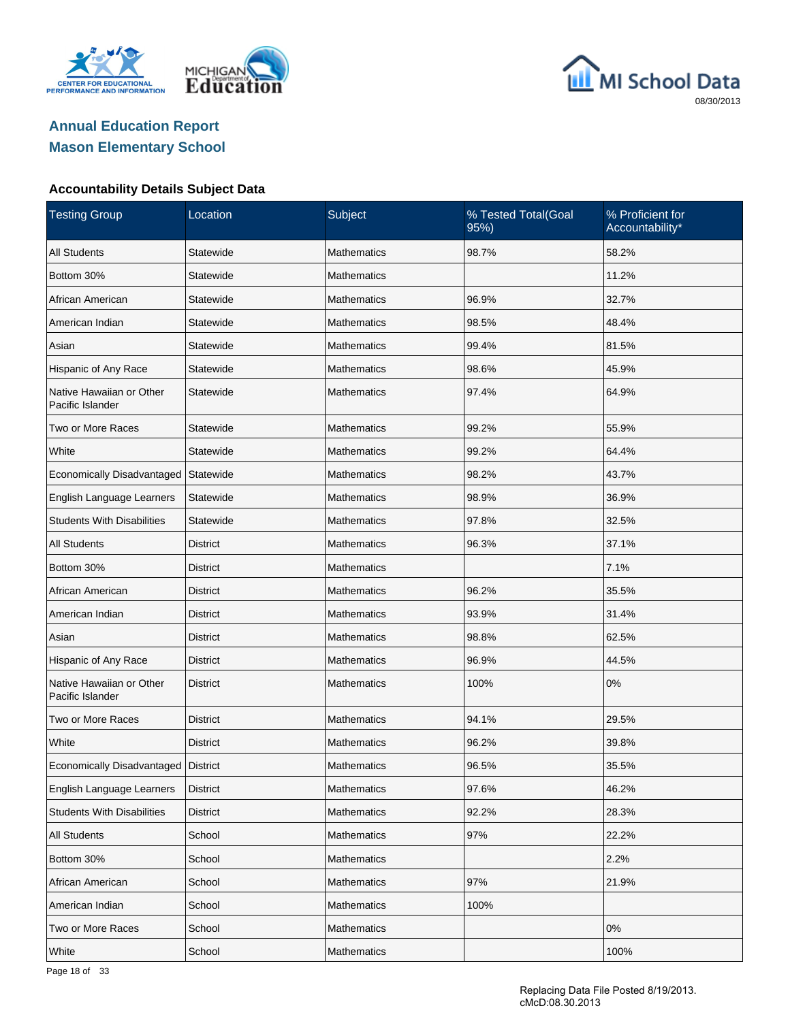





| <b>Testing Group</b>                         | Location        | Subject            | % Tested Total(Goal<br>95%) | % Proficient for<br>Accountability* |
|----------------------------------------------|-----------------|--------------------|-----------------------------|-------------------------------------|
| <b>All Students</b>                          | Statewide       | <b>Mathematics</b> | 98.7%                       | 58.2%                               |
| Bottom 30%                                   | Statewide       | Mathematics        |                             | 11.2%                               |
| African American                             | Statewide       | Mathematics        | 96.9%                       | 32.7%                               |
| American Indian                              | Statewide       | Mathematics        | 98.5%                       | 48.4%                               |
| Asian                                        | Statewide       | Mathematics        | 99.4%                       | 81.5%                               |
| Hispanic of Any Race                         | Statewide       | <b>Mathematics</b> | 98.6%                       | 45.9%                               |
| Native Hawaiian or Other<br>Pacific Islander | Statewide       | Mathematics        | 97.4%                       | 64.9%                               |
| Two or More Races                            | Statewide       | <b>Mathematics</b> | 99.2%                       | 55.9%                               |
| White                                        | Statewide       | <b>Mathematics</b> | 99.2%                       | 64.4%                               |
| Economically Disadvantaged                   | Statewide       | <b>Mathematics</b> | 98.2%                       | 43.7%                               |
| English Language Learners                    | Statewide       | <b>Mathematics</b> | 98.9%                       | 36.9%                               |
| <b>Students With Disabilities</b>            | Statewide       | <b>Mathematics</b> | 97.8%                       | 32.5%                               |
| <b>All Students</b>                          | <b>District</b> | <b>Mathematics</b> | 96.3%                       | 37.1%                               |
| Bottom 30%                                   | <b>District</b> | <b>Mathematics</b> |                             | 7.1%                                |
| African American                             | <b>District</b> | <b>Mathematics</b> | 96.2%                       | 35.5%                               |
| American Indian                              | <b>District</b> | <b>Mathematics</b> | 93.9%                       | 31.4%                               |
| Asian                                        | <b>District</b> | <b>Mathematics</b> | 98.8%                       | 62.5%                               |
| Hispanic of Any Race                         | <b>District</b> | <b>Mathematics</b> | 96.9%                       | 44.5%                               |
| Native Hawaiian or Other<br>Pacific Islander | <b>District</b> | <b>Mathematics</b> | 100%                        | 0%                                  |
| Two or More Races                            | <b>District</b> | <b>Mathematics</b> | 94.1%                       | 29.5%                               |
| White                                        | <b>District</b> | <b>Mathematics</b> | 96.2%                       | 39.8%                               |
| Economically Disadvantaged   District        |                 | <b>Mathematics</b> | 96.5%                       | 35.5%                               |
| English Language Learners                    | District        | Mathematics        | 97.6%                       | 46.2%                               |
| <b>Students With Disabilities</b>            | <b>District</b> | Mathematics        | 92.2%                       | 28.3%                               |
| <b>All Students</b>                          | School          | <b>Mathematics</b> | 97%                         | 22.2%                               |
| Bottom 30%                                   | School          | Mathematics        |                             | 2.2%                                |
| African American                             | School          | <b>Mathematics</b> | 97%                         | 21.9%                               |
| American Indian                              | School          | Mathematics        | 100%                        |                                     |
| Two or More Races                            | School          | <b>Mathematics</b> |                             | 0%                                  |
| White                                        | School          | <b>Mathematics</b> |                             | 100%                                |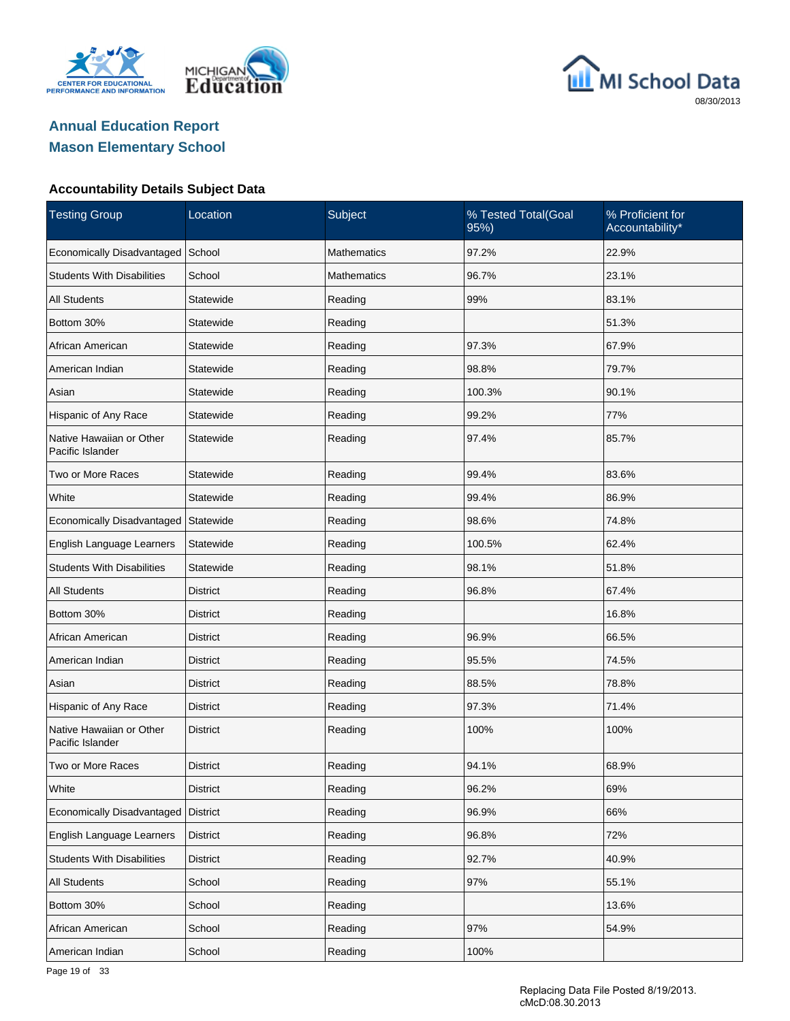





| <b>Testing Group</b>                         | Location        | Subject            | % Tested Total(Goal<br>95%) | % Proficient for<br>Accountability* |
|----------------------------------------------|-----------------|--------------------|-----------------------------|-------------------------------------|
| Economically Disadvantaged                   | School          | Mathematics        | 97.2%                       | 22.9%                               |
| <b>Students With Disabilities</b>            | School          | <b>Mathematics</b> | 96.7%                       | 23.1%                               |
| <b>All Students</b>                          | Statewide       | Reading            | 99%                         | 83.1%                               |
| Bottom 30%                                   | Statewide       | Reading            |                             | 51.3%                               |
| African American                             | Statewide       | Reading            | 97.3%                       | 67.9%                               |
| American Indian                              | Statewide       | Reading            | 98.8%                       | 79.7%                               |
| Asian                                        | Statewide       | Reading            | 100.3%                      | 90.1%                               |
| Hispanic of Any Race                         | Statewide       | Reading            | 99.2%                       | 77%                                 |
| Native Hawaiian or Other<br>Pacific Islander | Statewide       | Reading            | 97.4%                       | 85.7%                               |
| Two or More Races                            | Statewide       | Reading            | 99.4%                       | 83.6%                               |
| White                                        | Statewide       | Reading            | 99.4%                       | 86.9%                               |
| Economically Disadvantaged                   | Statewide       | Reading            | 98.6%                       | 74.8%                               |
| English Language Learners                    | Statewide       | Reading            | 100.5%                      | 62.4%                               |
| <b>Students With Disabilities</b>            | Statewide       | Reading            | 98.1%                       | 51.8%                               |
| <b>All Students</b>                          | <b>District</b> | Reading            | 96.8%                       | 67.4%                               |
| Bottom 30%                                   | District        | Reading            |                             | 16.8%                               |
| African American                             | <b>District</b> | Reading            | 96.9%                       | 66.5%                               |
| American Indian                              | District        | Reading            | 95.5%                       | 74.5%                               |
| Asian                                        | <b>District</b> | Reading            | 88.5%                       | 78.8%                               |
| Hispanic of Any Race                         | District        | Reading            | 97.3%                       | 71.4%                               |
| Native Hawaiian or Other<br>Pacific Islander | <b>District</b> | Reading            | 100%                        | 100%                                |
| Two or More Races                            | <b>District</b> | Reading            | 94.1%                       | 68.9%                               |
| White                                        | <b>District</b> | Reading            | 96.2%                       | 69%                                 |
| Economically Disadvantaged                   | <b>District</b> | Reading            | 96.9%                       | 66%                                 |
| English Language Learners                    | <b>District</b> | Reading            | 96.8%                       | 72%                                 |
| <b>Students With Disabilities</b>            | <b>District</b> | Reading            | 92.7%                       | 40.9%                               |
| <b>All Students</b>                          | School          | Reading            | 97%                         | 55.1%                               |
| Bottom 30%                                   | School          | Reading            |                             | 13.6%                               |
| African American                             | School          | Reading            | 97%                         | 54.9%                               |
| American Indian                              | School          | Reading            | 100%                        |                                     |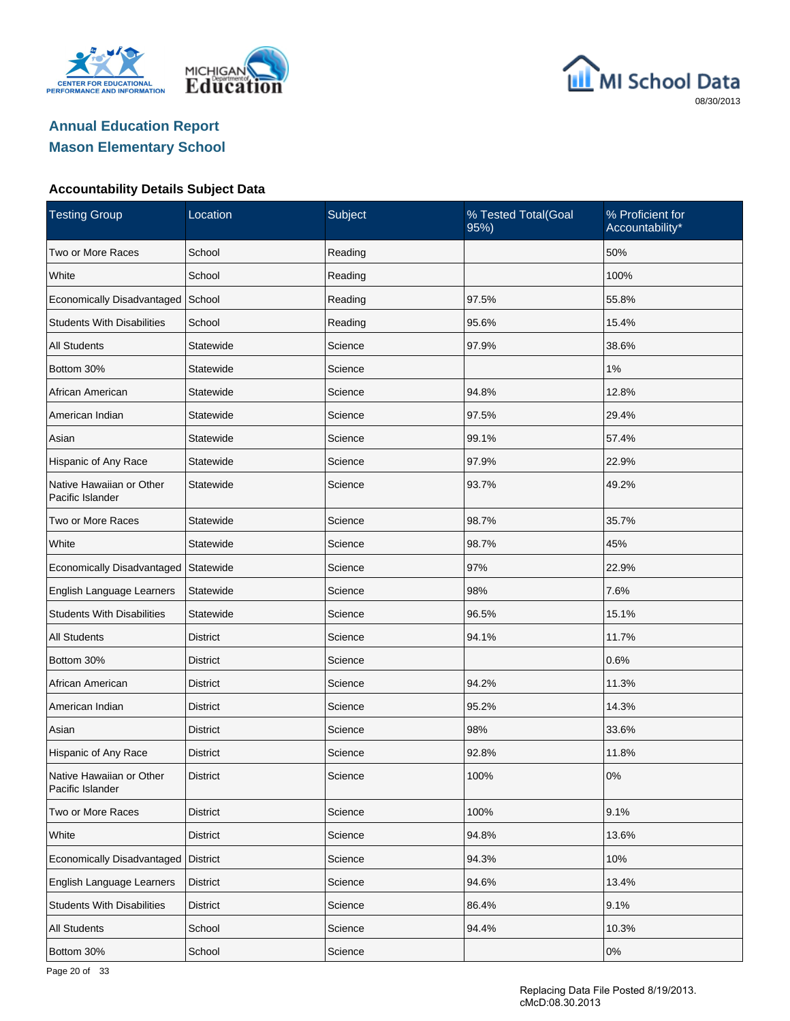





| <b>Testing Group</b>                         | Location        | Subject | % Tested Total(Goal<br>95%) | % Proficient for<br>Accountability* |
|----------------------------------------------|-----------------|---------|-----------------------------|-------------------------------------|
| Two or More Races                            | School          | Reading |                             | 50%                                 |
| White                                        | School          | Reading |                             | 100%                                |
| Economically Disadvantaged                   | School          | Reading | 97.5%                       | 55.8%                               |
| <b>Students With Disabilities</b>            | School          | Reading | 95.6%                       | 15.4%                               |
| <b>All Students</b>                          | Statewide       | Science | 97.9%                       | 38.6%                               |
| Bottom 30%                                   | Statewide       | Science |                             | 1%                                  |
| African American                             | Statewide       | Science | 94.8%                       | 12.8%                               |
| American Indian                              | Statewide       | Science | 97.5%                       | 29.4%                               |
| Asian                                        | Statewide       | Science | 99.1%                       | 57.4%                               |
| Hispanic of Any Race                         | Statewide       | Science | 97.9%                       | 22.9%                               |
| Native Hawaiian or Other<br>Pacific Islander | Statewide       | Science | 93.7%                       | 49.2%                               |
| Two or More Races                            | Statewide       | Science | 98.7%                       | 35.7%                               |
| White                                        | Statewide       | Science | 98.7%                       | 45%                                 |
| Economically Disadvantaged                   | Statewide       | Science | 97%                         | 22.9%                               |
| English Language Learners                    | Statewide       | Science | 98%                         | 7.6%                                |
| <b>Students With Disabilities</b>            | Statewide       | Science | 96.5%                       | 15.1%                               |
| <b>All Students</b>                          | <b>District</b> | Science | 94.1%                       | 11.7%                               |
| Bottom 30%                                   | District        | Science |                             | 0.6%                                |
| African American                             | <b>District</b> | Science | 94.2%                       | 11.3%                               |
| American Indian                              | District        | Science | 95.2%                       | 14.3%                               |
| Asian                                        | <b>District</b> | Science | 98%                         | 33.6%                               |
| Hispanic of Any Race                         | District        | Science | 92.8%                       | 11.8%                               |
| Native Hawaiian or Other<br>Pacific Islander | District        | Science | 100%                        | 0%                                  |
| Two or More Races                            | District        | Science | 100%                        | 9.1%                                |
| White                                        | <b>District</b> | Science | 94.8%                       | 13.6%                               |
| Economically Disadvantaged                   | District        | Science | 94.3%                       | 10%                                 |
| English Language Learners                    | <b>District</b> | Science | 94.6%                       | 13.4%                               |
| <b>Students With Disabilities</b>            | <b>District</b> | Science | 86.4%                       | 9.1%                                |
| All Students                                 | School          | Science | 94.4%                       | 10.3%                               |
| Bottom 30%                                   | School          | Science |                             | $0\%$                               |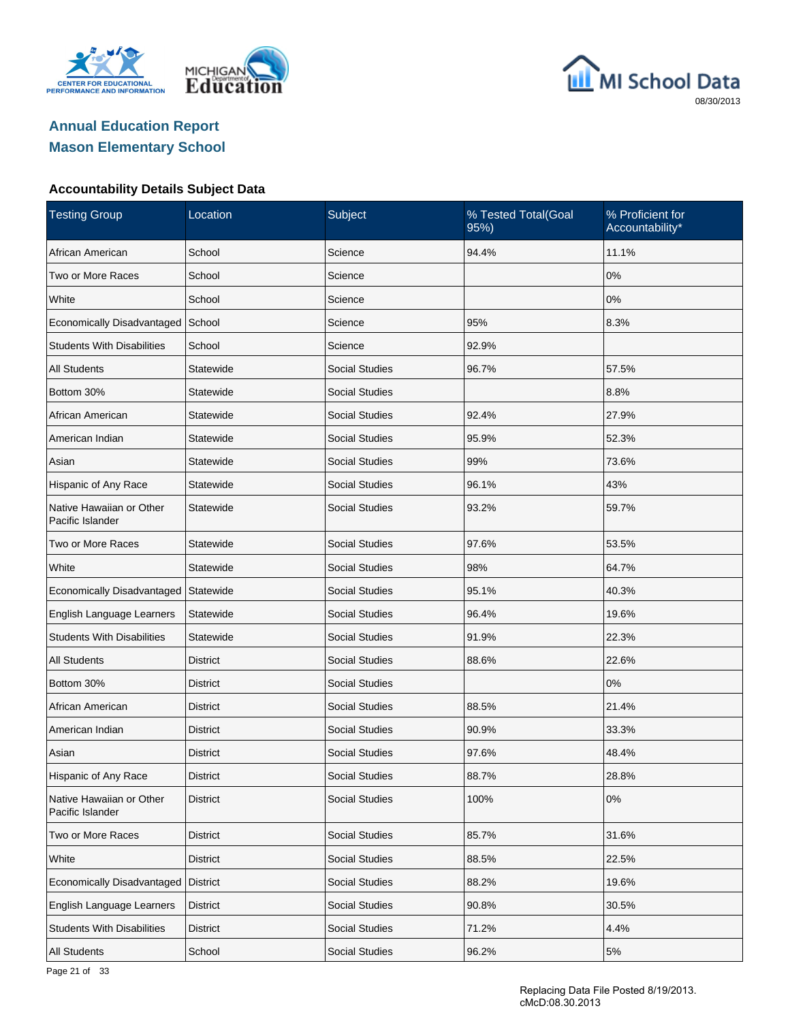





| <b>Testing Group</b>                         | Location        | Subject               | % Tested Total(Goal<br>95%) | % Proficient for<br>Accountability* |
|----------------------------------------------|-----------------|-----------------------|-----------------------------|-------------------------------------|
| African American                             | School          | Science               | 94.4%                       | 11.1%                               |
| Two or More Races                            | School          | Science               |                             | 0%                                  |
| White                                        | School          | Science               |                             | 0%                                  |
| Economically Disadvantaged                   | School          | Science               | 95%                         | 8.3%                                |
| <b>Students With Disabilities</b>            | School          | Science               | 92.9%                       |                                     |
| <b>All Students</b>                          | Statewide       | <b>Social Studies</b> | 96.7%                       | 57.5%                               |
| Bottom 30%                                   | Statewide       | <b>Social Studies</b> |                             | 8.8%                                |
| African American                             | Statewide       | <b>Social Studies</b> | 92.4%                       | 27.9%                               |
| American Indian                              | Statewide       | <b>Social Studies</b> | 95.9%                       | 52.3%                               |
| Asian                                        | Statewide       | <b>Social Studies</b> | 99%                         | 73.6%                               |
| Hispanic of Any Race                         | Statewide       | <b>Social Studies</b> | 96.1%                       | 43%                                 |
| Native Hawaiian or Other<br>Pacific Islander | Statewide       | <b>Social Studies</b> | 93.2%                       | 59.7%                               |
| Two or More Races                            | Statewide       | <b>Social Studies</b> | 97.6%                       | 53.5%                               |
| White                                        | Statewide       | <b>Social Studies</b> | 98%                         | 64.7%                               |
| Economically Disadvantaged                   | Statewide       | <b>Social Studies</b> | 95.1%                       | 40.3%                               |
| English Language Learners                    | Statewide       | Social Studies        | 96.4%                       | 19.6%                               |
| <b>Students With Disabilities</b>            | Statewide       | <b>Social Studies</b> | 91.9%                       | 22.3%                               |
| <b>All Students</b>                          | District        | Social Studies        | 88.6%                       | 22.6%                               |
| Bottom 30%                                   | District        | <b>Social Studies</b> |                             | 0%                                  |
| African American                             | District        | Social Studies        | 88.5%                       | 21.4%                               |
| American Indian                              | <b>District</b> | Social Studies        | 90.9%                       | 33.3%                               |
| Asian                                        | District        | <b>Social Studies</b> | 97.6%                       | 48.4%                               |
| Hispanic of Any Race                         | <b>District</b> | <b>Social Studies</b> | 88.7%                       | 28.8%                               |
| Native Hawaiian or Other<br>Pacific Islander | <b>District</b> | <b>Social Studies</b> | 100%                        | $0\%$                               |
| Two or More Races                            | <b>District</b> | Social Studies        | 85.7%                       | 31.6%                               |
| White                                        | <b>District</b> | Social Studies        | 88.5%                       | 22.5%                               |
| Economically Disadvantaged                   | <b>District</b> | Social Studies        | 88.2%                       | 19.6%                               |
| English Language Learners                    | <b>District</b> | <b>Social Studies</b> | 90.8%                       | 30.5%                               |
| <b>Students With Disabilities</b>            | <b>District</b> | Social Studies        | 71.2%                       | 4.4%                                |
| All Students                                 | School          | Social Studies        | 96.2%                       | $5\%$                               |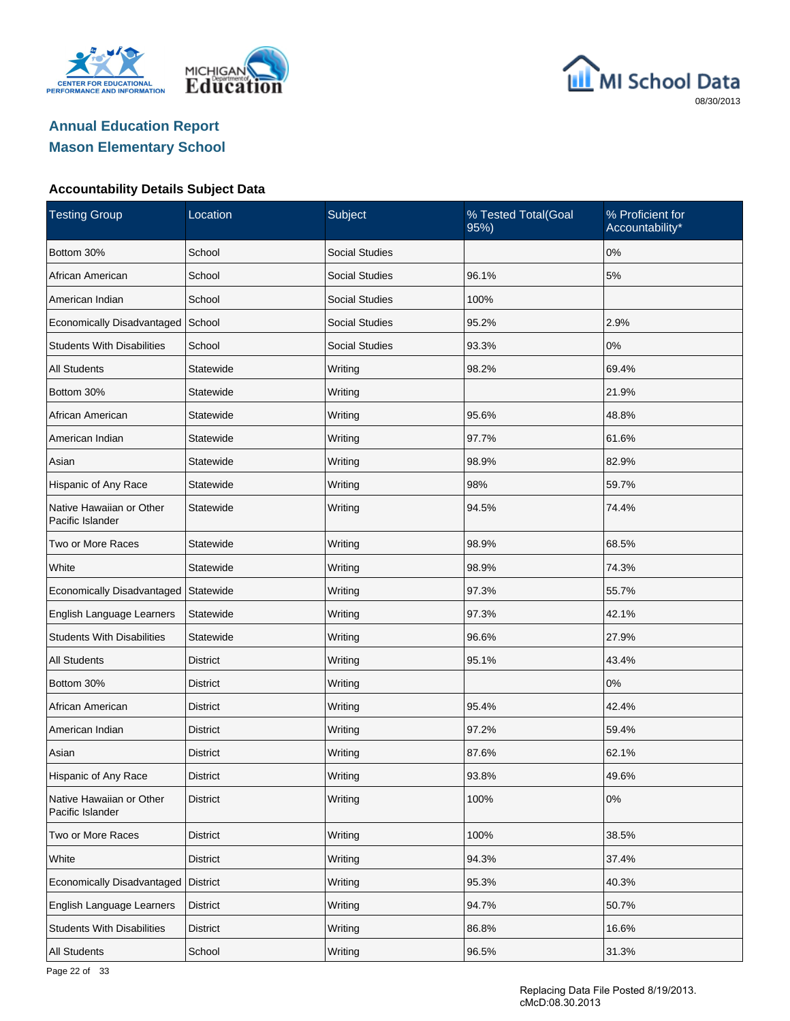





| <b>Testing Group</b>                         | Location        | Subject               | % Tested Total(Goal<br>95%) | % Proficient for<br>Accountability* |
|----------------------------------------------|-----------------|-----------------------|-----------------------------|-------------------------------------|
| Bottom 30%                                   | School          | <b>Social Studies</b> |                             | 0%                                  |
| African American                             | School          | <b>Social Studies</b> | 96.1%                       | 5%                                  |
| American Indian                              | School          | <b>Social Studies</b> | 100%                        |                                     |
| Economically Disadvantaged                   | School          | <b>Social Studies</b> | 95.2%                       | 2.9%                                |
| <b>Students With Disabilities</b>            | School          | <b>Social Studies</b> | 93.3%                       | 0%                                  |
| <b>All Students</b>                          | Statewide       | Writing               | 98.2%                       | 69.4%                               |
| Bottom 30%                                   | Statewide       | Writing               |                             | 21.9%                               |
| African American                             | Statewide       | Writing               | 95.6%                       | 48.8%                               |
| American Indian                              | Statewide       | Writing               | 97.7%                       | 61.6%                               |
| Asian                                        | Statewide       | Writing               | 98.9%                       | 82.9%                               |
| Hispanic of Any Race                         | Statewide       | Writing               | 98%                         | 59.7%                               |
| Native Hawaiian or Other<br>Pacific Islander | Statewide       | Writing               | 94.5%                       | 74.4%                               |
| Two or More Races                            | Statewide       | Writing               | 98.9%                       | 68.5%                               |
| White                                        | Statewide       | Writing               | 98.9%                       | 74.3%                               |
| Economically Disadvantaged                   | Statewide       | Writing               | 97.3%                       | 55.7%                               |
| English Language Learners                    | Statewide       | Writing               | 97.3%                       | 42.1%                               |
| <b>Students With Disabilities</b>            | Statewide       | Writing               | 96.6%                       | 27.9%                               |
| <b>All Students</b>                          | District        | Writing               | 95.1%                       | 43.4%                               |
| Bottom 30%                                   | District        | Writing               |                             | 0%                                  |
| African American                             | District        | Writing               | 95.4%                       | 42.4%                               |
| American Indian                              | District        | Writing               | 97.2%                       | 59.4%                               |
| Asian                                        | District        | Writing               | 87.6%                       | 62.1%                               |
| Hispanic of Any Race                         | District        | Writing               | 93.8%                       | 49.6%                               |
| Native Hawaiian or Other<br>Pacific Islander | <b>District</b> | Writing               | 100%                        | 0%                                  |
| Two or More Races                            | <b>District</b> | Writing               | 100%                        | 38.5%                               |
| White                                        | <b>District</b> | Writing               | 94.3%                       | 37.4%                               |
| Economically Disadvantaged                   | <b>District</b> | Writing               | 95.3%                       | 40.3%                               |
| English Language Learners                    | District        | Writing               | 94.7%                       | 50.7%                               |
| <b>Students With Disabilities</b>            | District        | Writing               | 86.8%                       | 16.6%                               |
| All Students                                 | School          | Writing               | 96.5%                       | 31.3%                               |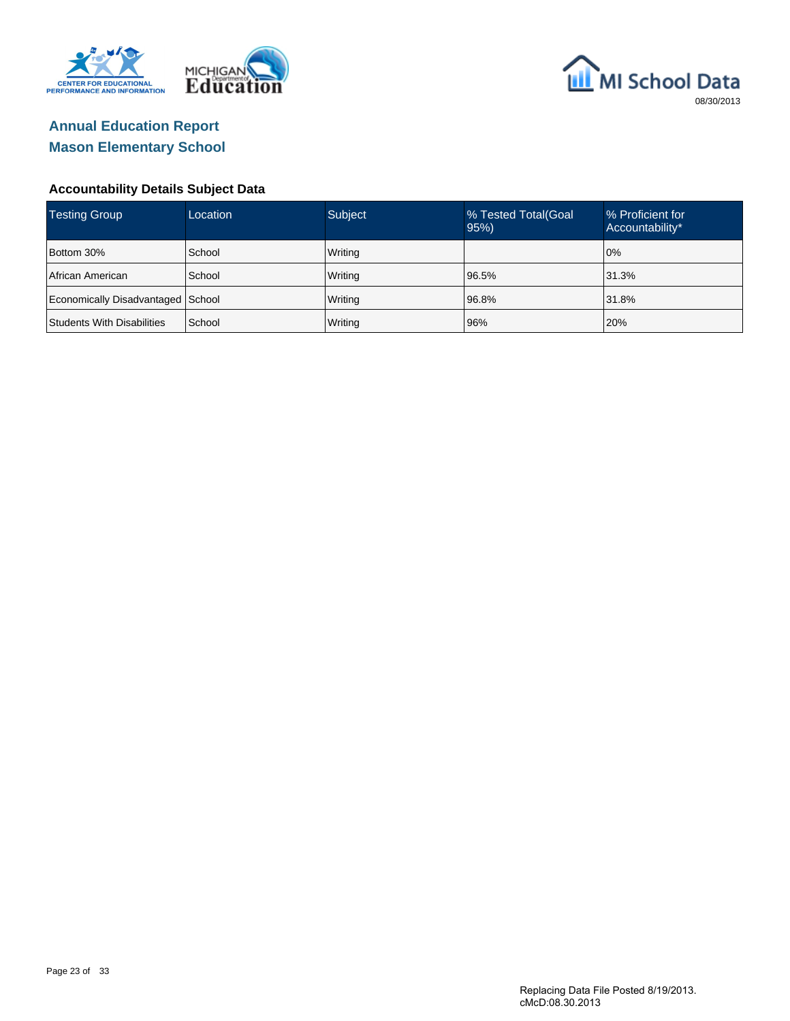



| <b>Testing Group</b>              | Location | Subject | % Tested Total (Goal<br>95% | % Proficient for<br>Accountability* |
|-----------------------------------|----------|---------|-----------------------------|-------------------------------------|
| Bottom 30%                        | School   | Writing |                             | 10%                                 |
| African American                  | School   | Writing | 96.5%                       | 31.3%                               |
| Economically Disadvantaged School |          | Writing | 96.8%                       | 31.8%                               |
| <b>Students With Disabilities</b> | School   | Writing | 96%                         | 20%                                 |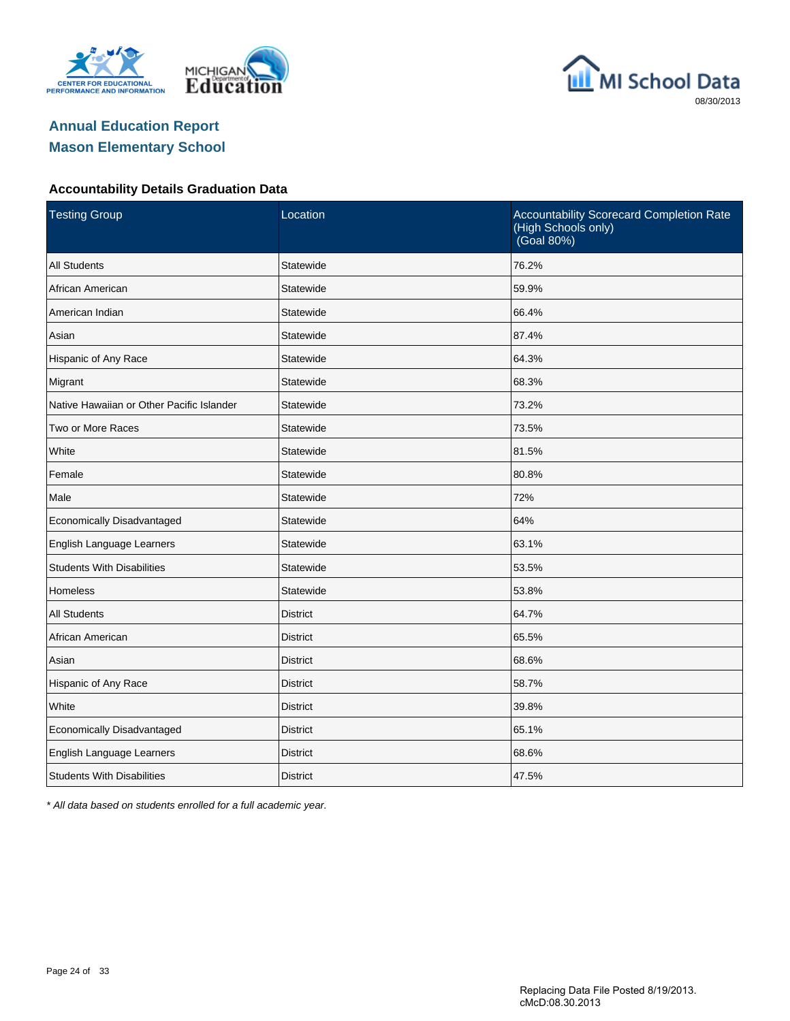





#### **Accountability Details Graduation Data**

| <b>Testing Group</b>                      | Location        | Accountability Scorecard Completion Rate<br>(High Schools only)<br>(Goal 80%) |
|-------------------------------------------|-----------------|-------------------------------------------------------------------------------|
| <b>All Students</b>                       | Statewide       | 76.2%                                                                         |
| African American                          | Statewide       | 59.9%                                                                         |
| American Indian                           | Statewide       | 66.4%                                                                         |
| Asian                                     | Statewide       | 87.4%                                                                         |
| Hispanic of Any Race                      | Statewide       | 64.3%                                                                         |
| Migrant                                   | Statewide       | 68.3%                                                                         |
| Native Hawaiian or Other Pacific Islander | Statewide       | 73.2%                                                                         |
| Two or More Races                         | Statewide       | 73.5%                                                                         |
| White                                     | Statewide       | 81.5%                                                                         |
| Female                                    | Statewide       | 80.8%                                                                         |
| Male                                      | Statewide       | 72%                                                                           |
| Economically Disadvantaged                | Statewide       | 64%                                                                           |
| English Language Learners                 | Statewide       | 63.1%                                                                         |
| <b>Students With Disabilities</b>         | Statewide       | 53.5%                                                                         |
| <b>Homeless</b>                           | Statewide       | 53.8%                                                                         |
| <b>All Students</b>                       | <b>District</b> | 64.7%                                                                         |
| African American                          | <b>District</b> | 65.5%                                                                         |
| Asian                                     | <b>District</b> | 68.6%                                                                         |
| Hispanic of Any Race                      | <b>District</b> | 58.7%                                                                         |
| White                                     | <b>District</b> | 39.8%                                                                         |
| Economically Disadvantaged                | <b>District</b> | 65.1%                                                                         |
| English Language Learners                 | <b>District</b> | 68.6%                                                                         |
| <b>Students With Disabilities</b>         | <b>District</b> | 47.5%                                                                         |

\* All data based on students enrolled for a full academic year.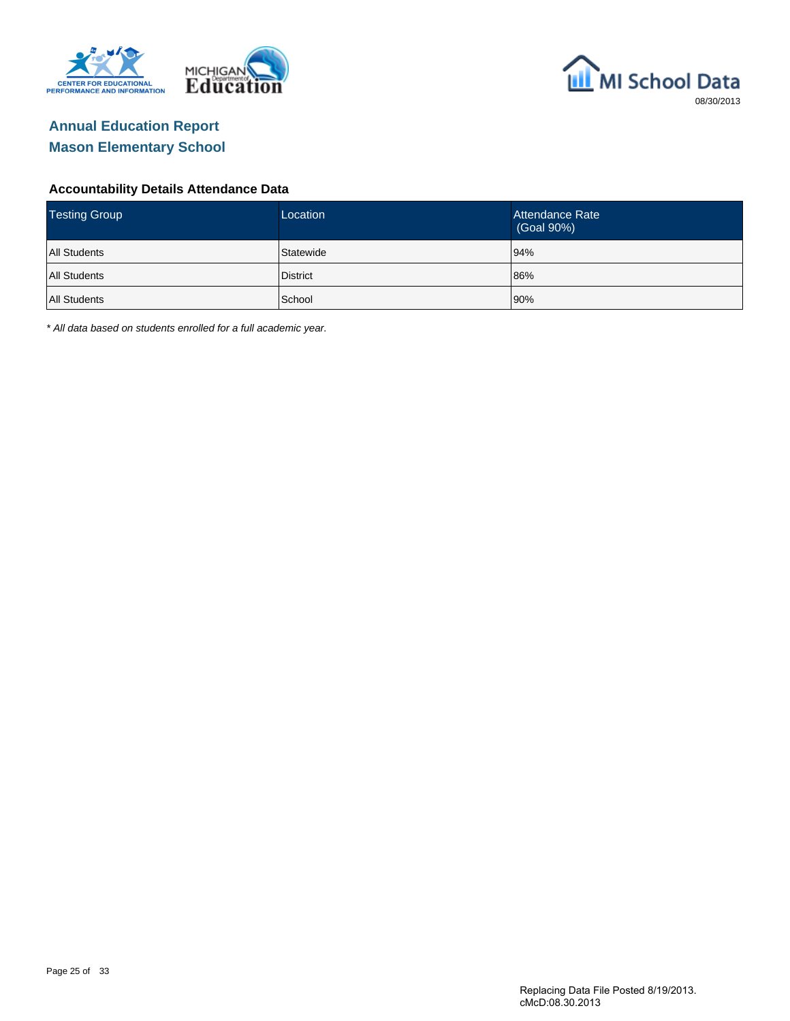



#### **Accountability Details Attendance Data**

| <b>Testing Group</b> | Location        | Attendance Rate<br>(Goal 90%) |
|----------------------|-----------------|-------------------------------|
| <b>All Students</b>  | Statewide       | 94%                           |
| All Students         | <b>District</b> | 86%                           |
| All Students         | School          | 90%                           |

\* All data based on students enrolled for a full academic year.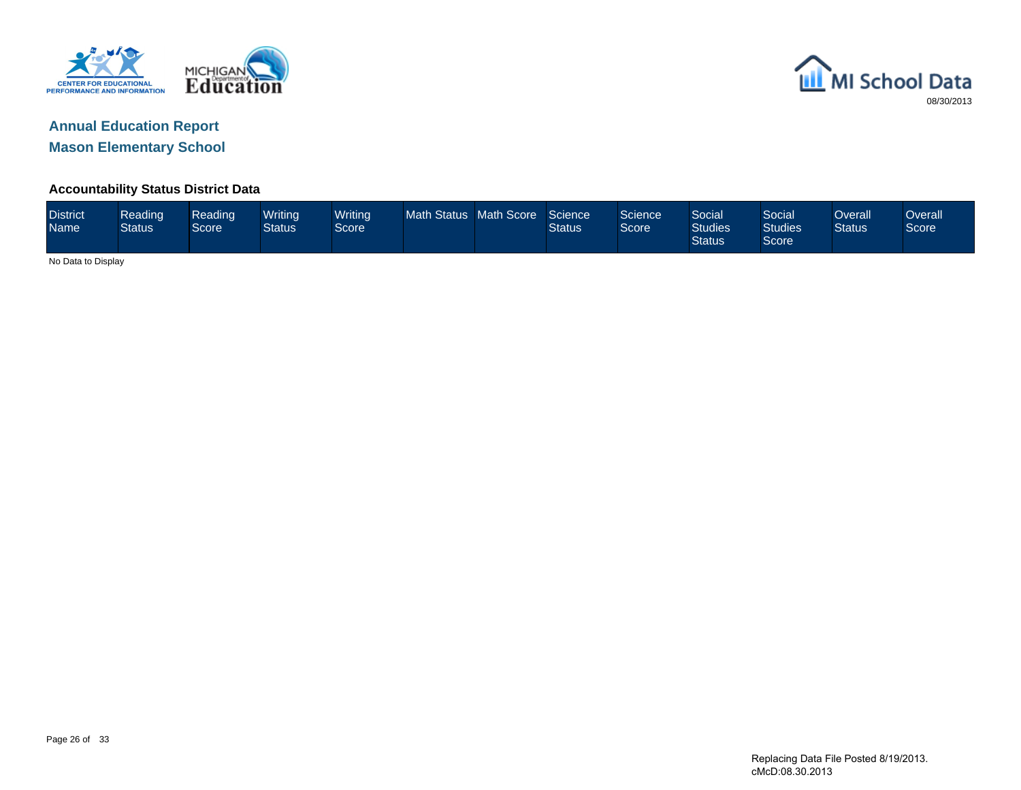



#### **Accountability Status District Data**

| <b>District</b><br>Name | Reading<br><b>Status</b> | Reading<br>Score | Writing<br><b>Status</b> | <b>Writing</b><br>Score | Math Status Math Score |  | Science<br><b>Status</b> | Science<br>Score | Social<br><b>Studies</b><br><b>Status</b> | Social<br><b>Studies</b><br>Score | Overall<br><b>Status</b> | Overallˈ<br>Score |
|-------------------------|--------------------------|------------------|--------------------------|-------------------------|------------------------|--|--------------------------|------------------|-------------------------------------------|-----------------------------------|--------------------------|-------------------|
|                         | No Data to Display       |                  |                          |                         |                        |  |                          |                  |                                           |                                   |                          |                   |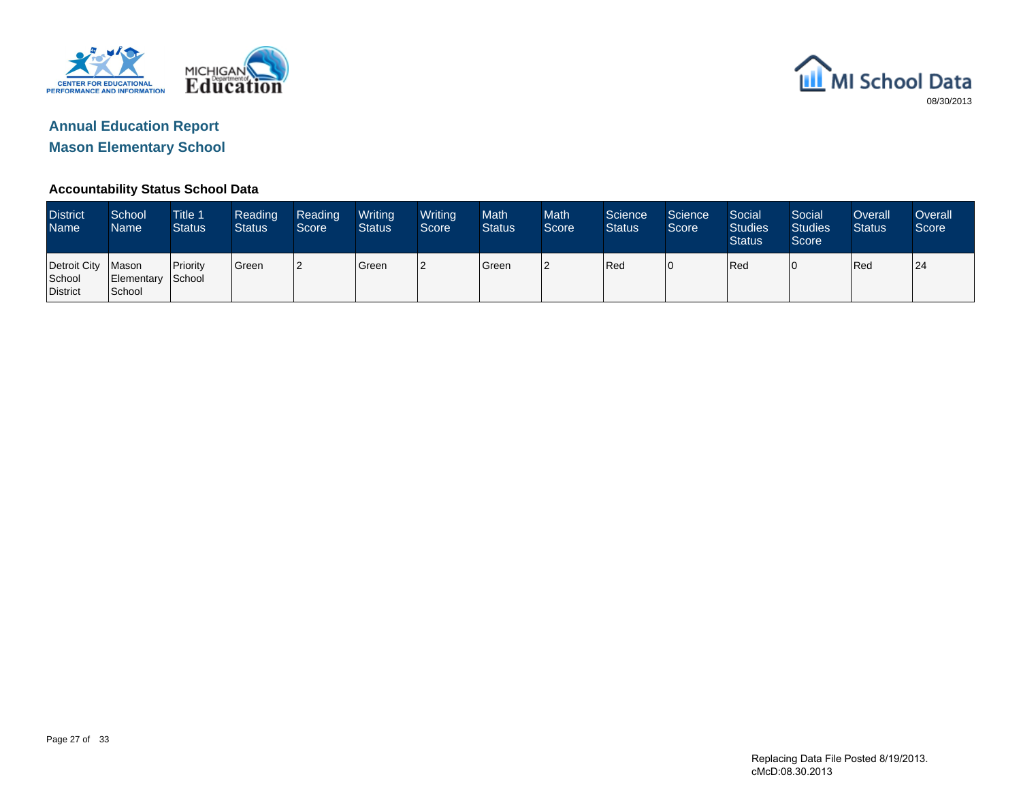



#### **Accountability Status School Data**

| <b>District</b><br>Name <sup>1</sup>       | School<br>Name              | Title 1<br><b>Status</b> | Reading<br><b>Status</b> | Reading<br>Score | Writing<br><b>Status</b> | Writing<br>Score | <b>Math</b><br><b>Status</b> | <b>Math</b><br>Score | Science<br><b>Status</b> | Science<br>Score | Social<br><b>Studies</b><br><b>Status</b> | Social<br><b>Studies</b><br>Score | Overall<br><b>Status</b> | <b>Overall</b><br>Score |
|--------------------------------------------|-----------------------------|--------------------------|--------------------------|------------------|--------------------------|------------------|------------------------------|----------------------|--------------------------|------------------|-------------------------------------------|-----------------------------------|--------------------------|-------------------------|
| Detroit City   Mason<br>School<br>District | Elementary School<br>School | <b>Priority</b>          | Green                    | 12               | Green                    | 12               | <b>S</b> reen                | l2                   | Red                      | 10               | Red                                       | 10                                | Red                      | 24                      |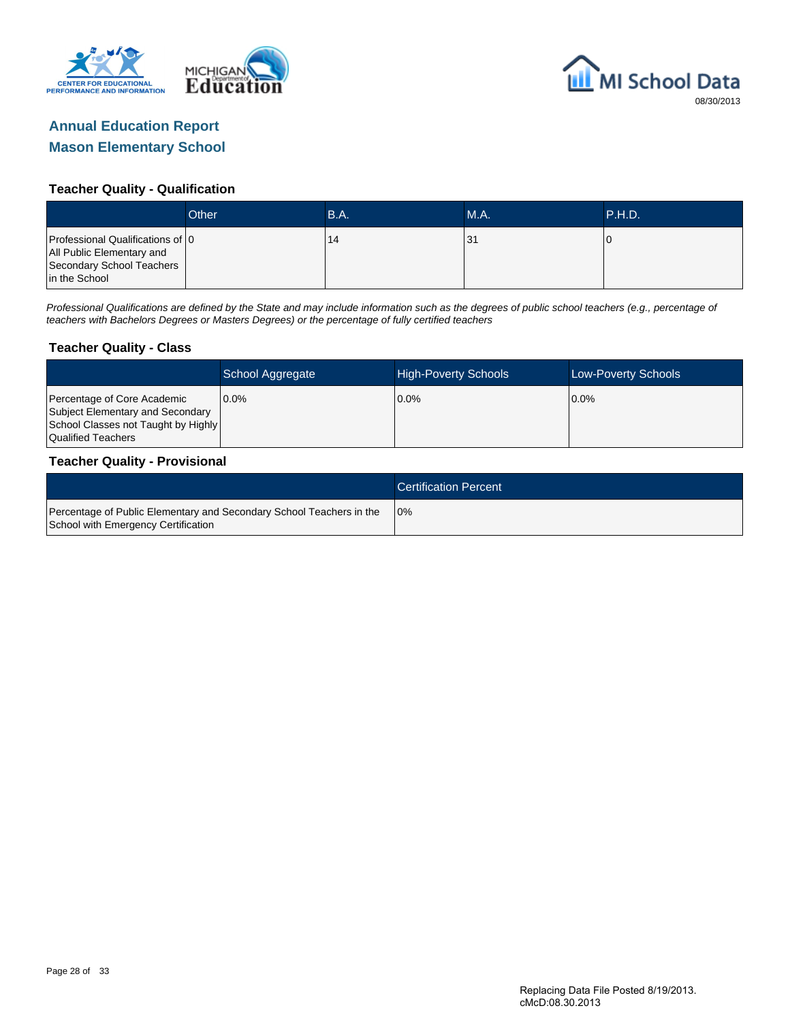



#### **Teacher Quality - Qualification**

|                                                                                                             | Other | B.A. | <b>M.A.</b> | <b>TP.H.D.</b> |
|-------------------------------------------------------------------------------------------------------------|-------|------|-------------|----------------|
| Professional Qualifications of 0<br>All Public Elementary and<br>Secondary School Teachers<br>in the School |       | 14   | 31          |                |

Professional Qualifications are defined by the State and may include information such as the degrees of public school teachers (e.g., percentage of teachers with Bachelors Degrees or Masters Degrees) or the percentage of fully certified teachers

#### **Teacher Quality - Class**

|                                                                                                                              | School Aggregate | <b>High-Poverty Schools</b> | <b>Low-Poverty Schools</b> |
|------------------------------------------------------------------------------------------------------------------------------|------------------|-----------------------------|----------------------------|
| Percentage of Core Academic<br>Subject Elementary and Secondary<br>School Classes not Taught by Highly<br>Qualified Teachers | $0.0\%$          | $0.0\%$                     | $0.0\%$                    |

#### **Teacher Quality - Provisional**

|                                                                                                             | <b>Certification Percent</b> |
|-------------------------------------------------------------------------------------------------------------|------------------------------|
| Percentage of Public Elementary and Secondary School Teachers in the<br>School with Emergency Certification | 10%                          |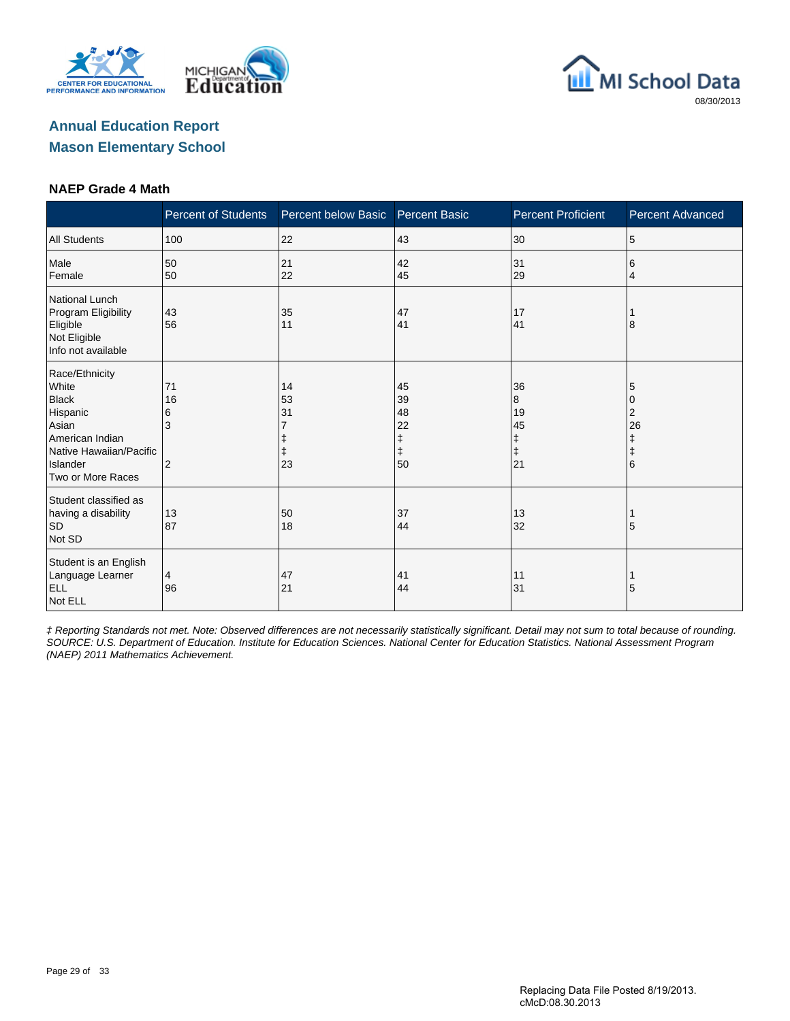





#### **NAEP Grade 4 Math**

|                                                                                                                                             | <b>Percent of Students</b>           | Percent below Basic  | <b>Percent Basic</b>                                                                  | <b>Percent Proficient</b>                    | <b>Percent Advanced</b>                   |
|---------------------------------------------------------------------------------------------------------------------------------------------|--------------------------------------|----------------------|---------------------------------------------------------------------------------------|----------------------------------------------|-------------------------------------------|
| <b>All Students</b>                                                                                                                         | 100                                  | 22                   | 43                                                                                    | 30                                           | 5                                         |
| Male<br>Female                                                                                                                              | 50<br>50                             | 21<br>22             | 42<br>45                                                                              | 31<br>29                                     | 6<br>4                                    |
| <b>National Lunch</b><br>Program Eligibility<br>Eligible<br>Not Eligible<br>Info not available                                              | 43<br>56                             | 35<br>11             | 47<br>41                                                                              | 17<br>41                                     | 8                                         |
| Race/Ethnicity<br>White<br><b>Black</b><br>Hispanic<br>Asian<br>American Indian<br>Native Hawaiian/Pacific<br>Islander<br>Two or More Races | 71<br>16<br>6<br>3<br>$\overline{2}$ | 14<br>53<br>31<br>23 | 45<br>39<br>48<br>22<br>$\begin{array}{c} \texttt{+} \\ \texttt{+} \end{array}$<br>50 | 36<br>8<br>19<br>45<br>ŧ<br>$\ddagger$<br>21 | 5<br>0<br>2<br>26<br>ŧ<br>$\ddagger$<br>6 |
| Student classified as<br>having a disability<br>SD<br>Not SD                                                                                | 13<br>87                             | 50<br>18             | 37<br>44                                                                              | 13<br>32                                     | 5                                         |
| Student is an English<br>Language Learner<br><b>ELL</b><br>Not ELL                                                                          | 4<br>96                              | 47<br>21             | 41<br>44                                                                              | 11<br>31                                     | 5                                         |

‡ Reporting Standards not met. Note: Observed differences are not necessarily statistically significant. Detail may not sum to total because of rounding. SOURCE: U.S. Department of Education. Institute for Education Sciences. National Center for Education Statistics. National Assessment Program (NAEP) 2011 Mathematics Achievement.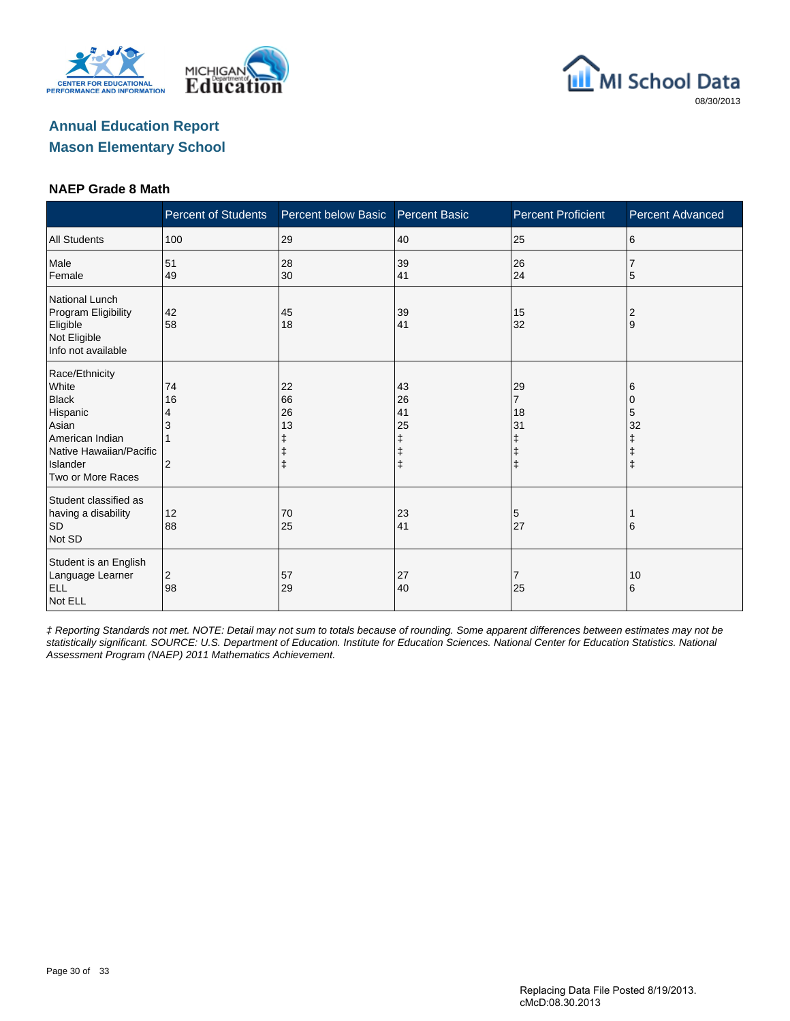





#### **NAEP Grade 8 Math**

|                                                                                                                                             | <b>Percent of Students</b>      | Percent below Basic                     | <b>Percent Basic</b> | <b>Percent Proficient</b>                   | <b>Percent Advanced</b>      |
|---------------------------------------------------------------------------------------------------------------------------------------------|---------------------------------|-----------------------------------------|----------------------|---------------------------------------------|------------------------------|
| <b>All Students</b>                                                                                                                         | 100                             | 29                                      | 40                   | 25                                          | 6                            |
| Male<br>Female                                                                                                                              | 51<br>49                        | 28<br>30                                | 39<br>41             | 26<br>24                                    | 5                            |
| National Lunch<br>Program Eligibility<br>Eligible<br>Not Eligible<br>Info not available                                                     | 42<br>58                        | 45<br>18                                | 39<br>41             | 15<br>32                                    | 2<br>Ι9                      |
| Race/Ethnicity<br>White<br><b>Black</b><br>Hispanic<br>Asian<br>American Indian<br>Native Hawaiian/Pacific<br>Islander<br>Two or More Races | 74<br>16<br>4<br>$\overline{2}$ | 22<br>66<br>26<br>13<br>ŧ<br>$\ddagger$ | 43<br>26<br>41<br>25 | 29<br>7<br>18<br>31<br>ŧ<br>ŧ<br>$\ddagger$ | 6<br>0<br>5<br>32<br>ŧ<br>ı‡ |
| Student classified as<br>having a disability<br>SD<br>Not SD                                                                                | 12<br>88                        | 70<br>25                                | 23<br>41             | 5<br>27                                     | 16                           |
| Student is an English<br>Language Learner<br><b>ELL</b><br>Not ELL                                                                          | $\overline{2}$<br>98            | 57<br>29                                | 27<br>40             | 7<br>25                                     | 10<br>6                      |

‡ Reporting Standards not met. NOTE: Detail may not sum to totals because of rounding. Some apparent differences between estimates may not be statistically significant. SOURCE: U.S. Department of Education. Institute for Education Sciences. National Center for Education Statistics. National Assessment Program (NAEP) 2011 Mathematics Achievement.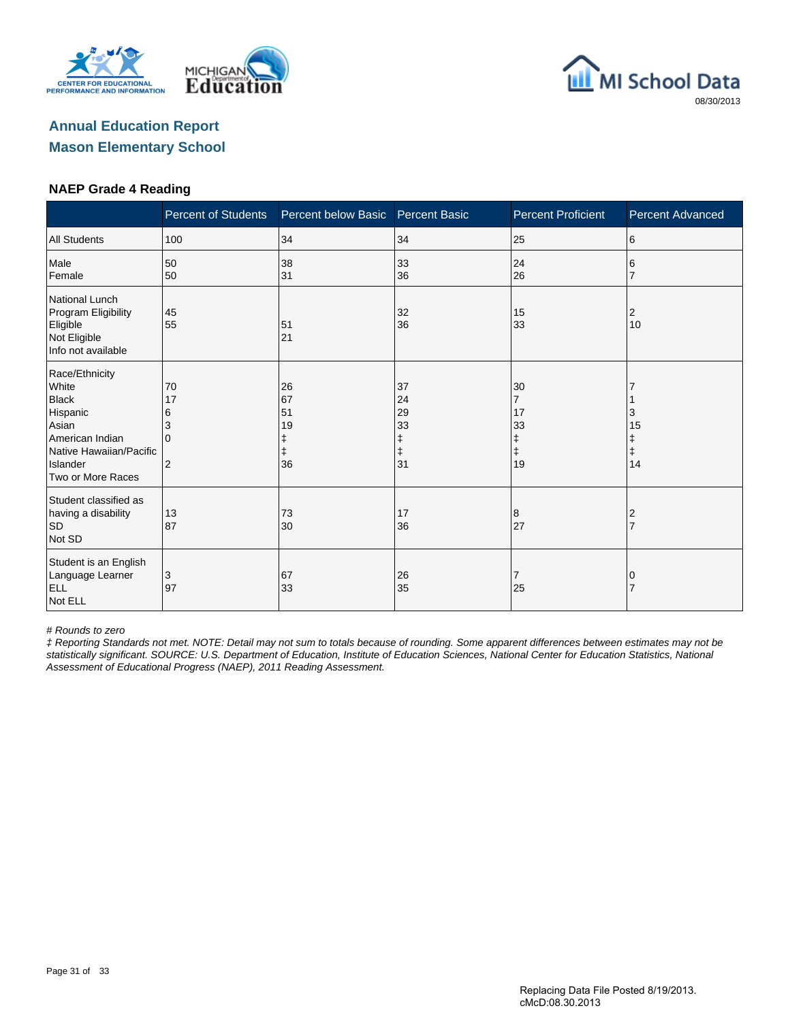





#### **NAEP Grade 4 Reading**

|                                                                                                                                             | <b>Percent of Students</b>                       | Percent below Basic        | <b>Percent Basic</b>                                   | <b>Percent Proficient</b>                                 | <b>Percent Advanced</b>          |
|---------------------------------------------------------------------------------------------------------------------------------------------|--------------------------------------------------|----------------------------|--------------------------------------------------------|-----------------------------------------------------------|----------------------------------|
| <b>All Students</b>                                                                                                                         | 100                                              | 34                         | 34                                                     | 25                                                        | 6                                |
| Male<br>Female                                                                                                                              | 50<br>50                                         | 38<br>31                   | 33<br>36                                               | 24<br>26                                                  | 6                                |
| <b>National Lunch</b><br>Program Eligibility<br>Eligible<br>Not Eligible<br>Info not available                                              | 45<br>55                                         | 51<br>21                   | 32<br>36                                               | 15<br>33                                                  | 2<br>10                          |
| Race/Ethnicity<br>White<br><b>Black</b><br>Hispanic<br>Asian<br>American Indian<br>Native Hawaiian/Pacific<br>Islander<br>Two or More Races | 70<br>17<br>6<br>3<br>$\Omega$<br>$\overline{2}$ | 26<br>67<br>51<br>19<br>36 | 37<br>24<br>29<br>33<br>$\ddagger$<br>$\ddagger$<br>31 | 30<br>$\overline{7}$<br>17<br>33<br>ŧ<br>$\ddagger$<br>19 | 3<br>15<br>Ŧ<br>$\ddagger$<br>14 |
| Student classified as<br>having a disability<br><b>SD</b><br>Not SD                                                                         | 13<br>87                                         | 73<br>30                   | 17<br>36                                               | 8<br>27                                                   | 2                                |
| Student is an English<br>Language Learner<br><b>ELL</b><br>Not ELL                                                                          | 3<br>97                                          | 67<br>33                   | 26<br>35                                               | 7<br>25                                                   | 0                                |

# Rounds to zero

‡ Reporting Standards not met. NOTE: Detail may not sum to totals because of rounding. Some apparent differences between estimates may not be statistically significant. SOURCE: U.S. Department of Education, Institute of Education Sciences, National Center for Education Statistics, National Assessment of Educational Progress (NAEP), 2011 Reading Assessment.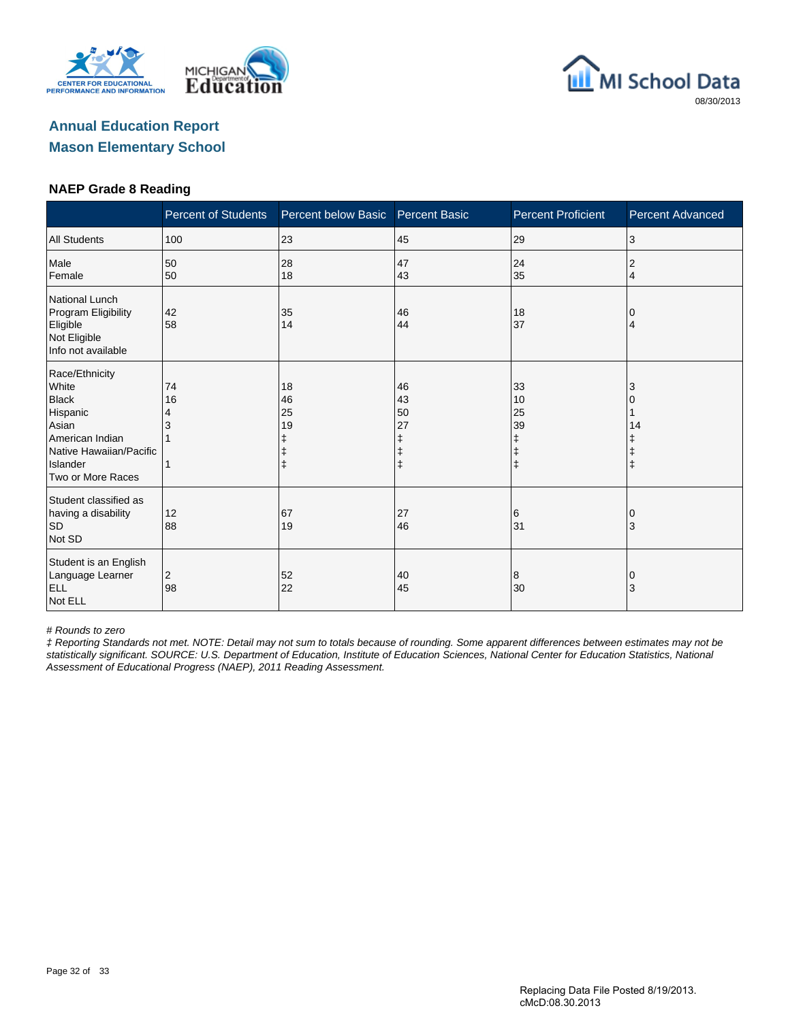





#### **NAEP Grade 8 Reading**

|                                                                                                                                             | <b>Percent of Students</b> | Percent below Basic  | <b>Percent Basic</b>                                  | <b>Percent Proficient</b>                             | <b>Percent Advanced</b> |
|---------------------------------------------------------------------------------------------------------------------------------------------|----------------------------|----------------------|-------------------------------------------------------|-------------------------------------------------------|-------------------------|
| <b>All Students</b>                                                                                                                         | 100                        | 23                   | 45                                                    | 29                                                    | 3                       |
| Male<br>Female                                                                                                                              | 50<br>50                   | 28<br>18             | 47<br>43                                              | 24<br>35                                              | 2<br>4                  |
| <b>National Lunch</b><br>Program Eligibility<br>Eligible<br>Not Eligible<br>Info not available                                              | 42<br>58                   | 35<br>14             | 46<br>44                                              | 18<br>37                                              | 4                       |
| Race/Ethnicity<br>White<br><b>Black</b><br>Hispanic<br>Asian<br>American Indian<br>Native Hawaiian/Pacific<br>Islander<br>Two or More Races | 74<br>16<br>4              | 18<br>46<br>25<br>19 | 46<br>43<br>50<br>27<br>ŧ<br>$\ddagger$<br>$\ddagger$ | 33<br>10<br>25<br>39<br>ŧ<br>$\ddagger$<br>$\ddagger$ | 3<br>14                 |
| Student classified as<br>having a disability<br><b>SD</b><br>Not SD                                                                         | 12<br>88                   | 67<br>19             | 27<br>46                                              | 6<br>31                                               | 0<br>3                  |
| Student is an English<br>Language Learner<br><b>ELL</b><br>Not ELL                                                                          | 2<br>98                    | 52<br>22             | 40<br>45                                              | 8<br> 30                                              | 3                       |

# Rounds to zero

‡ Reporting Standards not met. NOTE: Detail may not sum to totals because of rounding. Some apparent differences between estimates may not be statistically significant. SOURCE: U.S. Department of Education, Institute of Education Sciences, National Center for Education Statistics, National Assessment of Educational Progress (NAEP), 2011 Reading Assessment.